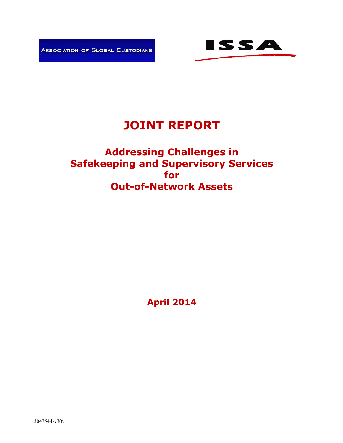



# **JOINT REPORT**

# **Addressing Challenges in Safekeeping and Supervisory Services for Out-of-Network Assets**

**April 2014**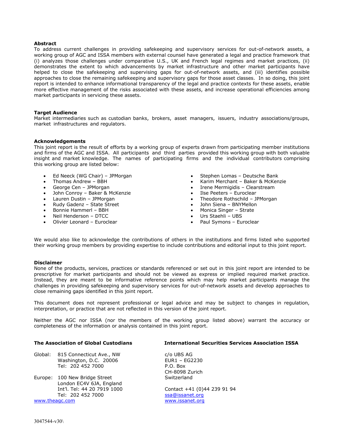#### **Abstract**

To address current challenges in providing safekeeping and supervisory services for out-of-network assets, a working group of AGC and ISSA members with external counsel have generated a legal and practice framework that (i) analyzes those challenges under comparative U.S., UK and French legal regimes and market practices, (ii) demonstrates the extent to which advancements by market infrastructure and other market participants have helped to close the safekeeping and supervising gaps for out-of-network assets, and (iii) identifies possible approaches to close the remaining safekeeping and supervisory gaps for those asset classes. In so doing, this joint report is intended to enhance informational transparency of the legal and practice contexts for these assets, enable more effective management of the risks associated with these assets, and increase operational efficiencies among market participants in servicing these assets.

#### **Target Audience**

Market intermediaries such as custodian banks, brokers, asset managers, issuers, industry associations/groups, market infrastructures and regulators.

#### **Acknowledgements**

This joint report is the result of efforts by a working group of experts drawn from participating member institutions and firms of the AGC and ISSA. All participants and third parties provided this working group with both valuable insight and market knowledge. The names of participating firms and the individual contributors comprising this working group are listed below:

- Ed Neeck (WG Chair) JPMorgan
- Thomas Andrew BBH
- George Cen JPMorgan
- John Conroy Baker & McKenzie
- Lauren Dustin JPMorgan
- Rudy Gadenz State Street
- Bonnie Hammerl BBH
- Neil Henderson DTCC
- Olivier Leonard Euroclear
- Stephen Lomas Deutsche Bank
- Karim Merchant Baker & McKenzie
- Irene Mermigidis Clearstream
- Ilse Peeters Euroclear
- Theodore Rothschild JPMorgan
- John Siena BNYMellon
- Monica Singer Strate
- Urs Staehli UBS
- Paul Symons Euroclear

We would also like to acknowledge the contributions of others in the institutions and firms listed who supported their working group members by providing expertise to include contributions and editorial input to this joint report.

#### **Disclaimer**

None of the products, services, practices or standards referenced or set out in this joint report are intended to be prescriptive for market participants and should not be viewed as express or implied required market practice. Instead, they are meant to be informative reference points which may help market participants manage the challenges in providing safekeeping and supervisory services for out-of-network assets and develop approaches to close remaining gaps identified in this joint report.

This document does not represent professional or legal advice and may be subject to changes in regulation, interpretation, or practice that are not reflected in this version of the joint report.

Neither the AGC nor ISSA (nor the members of the working group listed above) warrant the accuracy or completeness of the information or analysis contained in this joint report.

| <b>The Association of Global Custodians</b>                                        | <b>International Securities Services Association ISSA</b> |  |
|------------------------------------------------------------------------------------|-----------------------------------------------------------|--|
| Global:<br>815 Connecticut Ave., NW<br>Washington, D.C. 20006<br>Tel: 202 452 7000 | c/o UBS AG<br>EUR1 - EG2230<br>P.O. Box<br>CH-8098 Zurich |  |
| Europe: 100 New Bridge Street<br>London EC4V 6JA, England                          | Switzerland                                               |  |
| Int'l. Tel: 44 20 7919 1000<br>Tel: 202 452 7000                                   | Contact +41 (0)44 239 91 94<br>ssa@issanet.org            |  |
| www.theagc.com                                                                     | www.issanet.org                                           |  |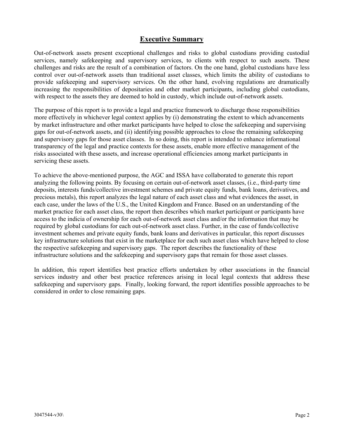### **Executive Summary**

Out-of-network assets present exceptional challenges and risks to global custodians providing custodial services, namely safekeeping and supervisory services, to clients with respect to such assets. These challenges and risks are the result of a combination of factors. On the one hand, global custodians have less control over out-of-network assets than traditional asset classes, which limits the ability of custodians to provide safekeeping and supervisory services. On the other hand, evolving regulations are dramatically increasing the responsibilities of depositaries and other market participants, including global custodians, with respect to the assets they are deemed to hold in custody, which include out-of-network assets.

The purpose of this report is to provide a legal and practice framework to discharge those responsibilities more effectively in whichever legal context applies by (i) demonstrating the extent to which advancements by market infrastructure and other market participants have helped to close the safekeeping and supervising gaps for out-of-network assets, and (ii) identifying possible approaches to close the remaining safekeeping and supervisory gaps for those asset classes. In so doing, this report is intended to enhance informational transparency of the legal and practice contexts for these assets, enable more effective management of the risks associated with these assets, and increase operational efficiencies among market participants in servicing these assets.

To achieve the above-mentioned purpose, the AGC and ISSA have collaborated to generate this report analyzing the following points. By focusing on certain out-of-network asset classes, (i.e., third-party time deposits, interests funds/collective investment schemes and private equity funds, bank loans, derivatives, and precious metals), this report analyzes the legal nature of each asset class and what evidences the asset, in each case, under the laws of the U.S., the United Kingdom and France. Based on an understanding of the market practice for each asset class, the report then describes which market participant or participants have access to the indicia of ownership for each out-of-network asset class and/or the information that may be required by global custodians for each out-of-network asset class. Further, in the case of funds/collective investment schemes and private equity funds, bank loans and derivatives in particular, this report discusses key infrastructure solutions that exist in the marketplace for each such asset class which have helped to close the respective safekeeping and supervisory gaps. The report describes the functionality of these infrastructure solutions and the safekeeping and supervisory gaps that remain for those asset classes.

In addition, this report identifies best practice efforts undertaken by other associations in the financial services industry and other best practice references arising in local legal contexts that address these safekeeping and supervisory gaps. Finally, looking forward, the report identifies possible approaches to be considered in order to close remaining gaps.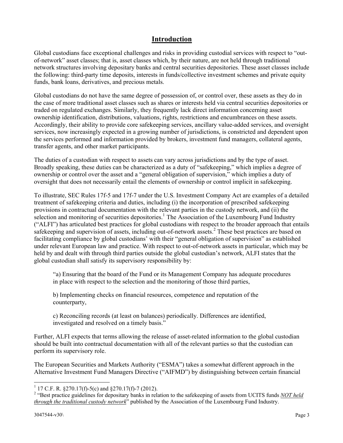### **Introduction**

Global custodians face exceptional challenges and risks in providing custodial services with respect to "outof-network" asset classes; that is, asset classes which, by their nature, are not held through traditional network structures involving depositary banks and central securities depositories. These asset classes include the following: third-party time deposits, interests in funds/collective investment schemes and private equity funds, bank loans, derivatives, and precious metals.

Global custodians do not have the same degree of possession of, or control over, these assets as they do in the case of more traditional asset classes such as shares or interests held via central securities depositories or traded on regulated exchanges. Similarly, they frequently lack direct information concerning asset ownership identification, distributions, valuations, rights, restrictions and encumbrances on these assets. Accordingly, their ability to provide core safekeeping services, ancillary value-added services, and oversight services, now increasingly expected in a growing number of jurisdictions, is constricted and dependent upon the services performed and information provided by brokers, investment fund managers, collateral agents, transfer agents, and other market participants.

The duties of a custodian with respect to assets can vary across jurisdictions and by the type of asset. Broadly speaking, these duties can be characterized as a duty of "safekeeping," which implies a degree of ownership or control over the asset and a "general obligation of supervision," which implies a duty of oversight that does not necessarily entail the elements of ownership or control implicit in safekeeping.

To illustrate, SEC Rules 17f-5 and 17f-7 under the U.S. Investment Company Act are examples of a detailed treatment of safekeeping criteria and duties, including (i) the incorporation of prescribed safekeeping provisions in contractual documentation with the relevant parties in the custody network, and (ii) the selection and monitoring of securities depositories.<sup>1</sup> The Association of the Luxembourg Fund Industry ("ALFI") has articulated best practices for global custodians with respect to the broader approach that entails safekeeping and supervision of assets, including out-of-network assets.<sup>2</sup> These best practices are based on facilitating compliance by global custodians' with their "general obligation of supervision" as established under relevant European law and practice. With respect to out-of-network assets in particular, which may be held by and dealt with through third parties outside the global custodian's network, ALFI states that the global custodian shall satisfy its supervisory responsibility by:

"a) Ensuring that the board of the Fund or its Management Company has adequate procedures in place with respect to the selection and the monitoring of those third parties,

b) Implementing checks on financial resources, competence and reputation of the counterparty,

c) Reconciling records (at least on balances) periodically. Differences are identified, investigated and resolved on a timely basis."

Further, ALFI expects that terms allowing the release of asset-related information to the global custodian should be built into contractual documentation with all of the relevant parties so that the custodian can perform its supervisory role.

The European Securities and Markets Authority ("ESMA") takes a somewhat different approach in the Alternative Investment Fund Managers Directive ("AIFMD") by distinguishing between certain financial

 1 17 C.F. R. §270.17(f)-5(c) and §270.17(f)-7 (2012).

<sup>&</sup>lt;sup>2</sup> "Best practice guidelines for depositary banks in relation to the safekeeping of assets from UCITS funds *NOT held through the traditional custody network*" published by the Association of the Luxembourg Fund Industry.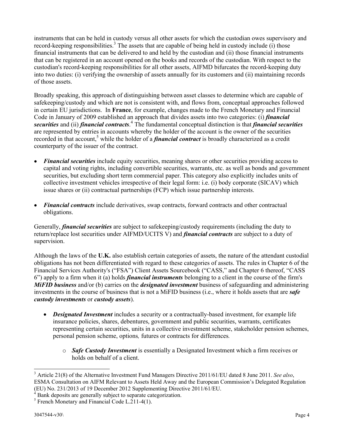instruments that can be held in custody versus all other assets for which the custodian owes supervisory and record-keeping responsibilities.<sup>3</sup> The assets that are capable of being held in custody include (i) those financial instruments that can be delivered to and held by the custodian and (ii) those financial instruments that can be registered in an account opened on the books and records of the custodian. With respect to the custodian's record-keeping responsibilities for all other assets, AIFMD bifurcates the record-keeping duty into two duties: (i) verifying the ownership of assets annually for its customers and (ii) maintaining records of those assets.

Broadly speaking, this approach of distinguishing between asset classes to determine which are capable of safekeeping/custody and which are not is consistent with, and flows from, conceptual approaches followed in certain EU jurisdictions. In **France**, for example, changes made to the French Monetary and Financial Code in January of 2009 established an approach that divides assets into two categories: (i) *financial*  securities and (ii) *financial contracts*.<sup>4</sup> The fundamental conceptual distinction is that *financial securities* are represented by entries in accounts whereby the holder of the account is the owner of the securities recorded in that account,<sup>5</sup> while the holder of a *financial contract* is broadly characterized as a credit counterparty of the issuer of the contract.

- *Financial securities* include equity securities, meaning shares or other securities providing access to capital and voting rights, including convertible securities, warrants, etc. as well as bonds and government securities, but excluding short term commercial paper. This category also explicitly includes units of collective investment vehicles irrespective of their legal form: i.e. (i) body corporate (SICAV) which issue shares or (ii) contractual partnerships (FCP) which issue partnership interests.
- *Financial contracts* include derivatives, swap contracts, forward contracts and other contractual obligations.

Generally, *financial securities* are subject to safekeeping/custody requirements (including the duty to return/replace lost securities under AIFMD/UCITS V) and *financial contracts* are subject to a duty of supervision.

Although the laws of the **U.K.** also establish certain categories of assets, the nature of the attendant custodial obligations has not been differentiated with regard to these categories of assets. The rules in Chapter 6 of the Financial Services Authority's ("FSA") Client Assets Sourcebook ("CASS," and Chapter 6 thereof, "CASS 6") apply to a firm when it (a) holds *financial instruments* belonging to a client in the course of the firm's *MiFID business* and/or (b) carries on the *designated investment* business of safeguarding and administering investments in the course of business that is not a MiFID business (i.e., where it holds assets that are *safe custody investments* or *custody assets*).

- *Designated Investment* includes a security or a contractually-based investment, for example life insurance policies, shares, debentures, government and public securities, warrants, certificates representing certain securities, units in a collective investment scheme, stakeholder pension schemes, personal pension scheme, options*,* futures or contracts for differences*.* 
	- o *Safe Custody Investment* is essentially a Designated Investment which a firm receives or holds on behalf of a client.

<u>.</u>

<sup>3</sup> Article 21(8) of the Alternative Investment Fund Managers Directive 2011/61/EU dated 8 June 2011. *See also*, ESMA Consultation on AIFM Relevant to Assets Held Away and the European Commission's Delegated Regulation (EU) No. 231/2013 of 19 December 2012 Supplementing Directive 2011/61/EU.

Bank deposits are generally subject to separate categorization.

<sup>&</sup>lt;sup>5</sup> French Monetary and Financial Code L.211-4(1).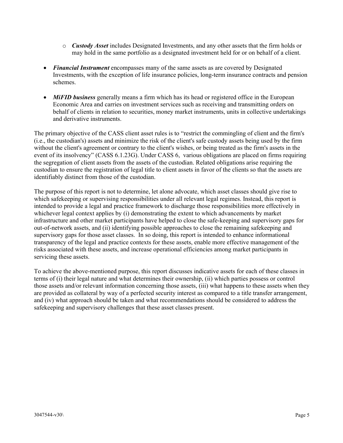- o *Custody Asset* includes Designated Investments, and any other assets that the firm holds or may hold in the same portfolio as a designated investment held for or on behalf of a client.
- *Financial Instrument* encompasses many of the same assets as are covered by Designated Investments, with the exception of life insurance policies, long-term insurance contracts and pension schemes.
- *MiFID business* generally means a firm which has its head or registered office in the European Economic Area and carries on investment services such as receiving and transmitting orders on behalf of clients in relation to securities, money market instruments, units in collective undertakings and derivative instruments.

The primary objective of the CASS client asset rules is to "restrict the commingling of client and the firm's (i.e., the custodian's) assets and minimize the risk of the client's safe custody assets being used by the firm without the client's agreement or contrary to the client's wishes, or being treated as the firm's assets in the event of its insolvency" (CASS 6.1.23G). Under CASS 6, various obligations are placed on firms requiring the segregation of client assets from the assets of the custodian. Related obligations arise requiring the custodian to ensure the registration of legal title to client assets in favor of the clients so that the assets are identifiably distinct from those of the custodian.

The purpose of this report is not to determine, let alone advocate, which asset classes should give rise to which safekeeping or supervising responsibilities under all relevant legal regimes. Instead, this report is intended to provide a legal and practice framework to discharge those responsibilities more effectively in whichever legal context applies by (i) demonstrating the extent to which advancements by market infrastructure and other market participants have helped to close the safe-keeping and supervisory gaps for out-of-network assets, and (ii) identifying possible approaches to close the remaining safekeeping and supervisory gaps for those asset classes. In so doing, this report is intended to enhance informational transparency of the legal and practice contexts for these assets, enable more effective management of the risks associated with these assets, and increase operational efficiencies among market participants in servicing these assets.

To achieve the above-mentioned purpose, this report discusses indicative assets for each of these classes in terms of (i) their legal nature and what determines their ownership, (ii) which parties possess or control those assets and/or relevant information concerning those assets, (iii) what happens to these assets when they are provided as collateral by way of a perfected security interest as compared to a title transfer arrangement, and (iv) what approach should be taken and what recommendations should be considered to address the safekeeping and supervisory challenges that these asset classes present.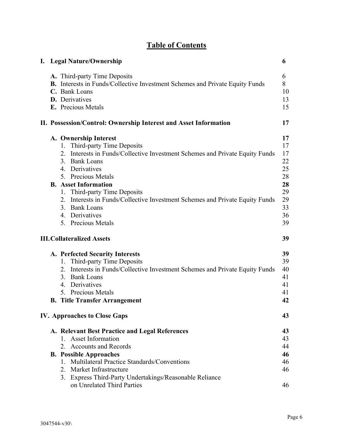## **Table of Contents**

|  | I. Legal Nature/Ownership                                                                                                                                                                                                                                                                                                                                                                              | 6                                                                    |
|--|--------------------------------------------------------------------------------------------------------------------------------------------------------------------------------------------------------------------------------------------------------------------------------------------------------------------------------------------------------------------------------------------------------|----------------------------------------------------------------------|
|  | A. Third-party Time Deposits<br>B. Interests in Funds/Collective Investment Schemes and Private Equity Funds<br>C. Bank Loans<br><b>D.</b> Derivatives<br>E. Precious Metals                                                                                                                                                                                                                           | 6<br>8<br>10<br>13<br>15                                             |
|  | II. Possession/Control: Ownership Interest and Asset Information                                                                                                                                                                                                                                                                                                                                       | 17                                                                   |
|  | A. Ownership Interest<br>1. Third-party Time Deposits<br>2. Interests in Funds/Collective Investment Schemes and Private Equity Funds<br>3. Bank Loans<br>4. Derivatives<br>5. Precious Metals<br><b>B.</b> Asset Information<br>1. Third-party Time Deposits<br>2. Interests in Funds/Collective Investment Schemes and Private Equity Funds<br>3. Bank Loans<br>4. Derivatives<br>5. Precious Metals | 17<br>17<br>17<br>22<br>25<br>28<br>28<br>29<br>29<br>33<br>36<br>39 |
|  | <b>III. Collateralized Assets</b>                                                                                                                                                                                                                                                                                                                                                                      | 39                                                                   |
|  | A. Perfected Security Interests<br>1. Third-party Time Deposits<br>2. Interests in Funds/Collective Investment Schemes and Private Equity Funds<br>3. Bank Loans<br>4. Derivatives<br>5. Precious Metals<br><b>B.</b> Title Transfer Arrangement                                                                                                                                                       | 39<br>39<br>40<br>41<br>41<br>41<br>42                               |
|  | <b>IV. Approaches to Close Gaps</b>                                                                                                                                                                                                                                                                                                                                                                    | 43                                                                   |
|  | A. Relevant Best Practice and Legal References<br>1. Asset Information<br>2. Accounts and Records<br><b>B.</b> Possible Approaches<br>1. Multilateral Practice Standards/Conventions<br>2. Market Infrastructure<br>3. Express Third-Party Undertakings/Reasonable Reliance<br>on Unrelated Third Parties                                                                                              | 43<br>43<br>44<br>46<br>46<br>46<br>46                               |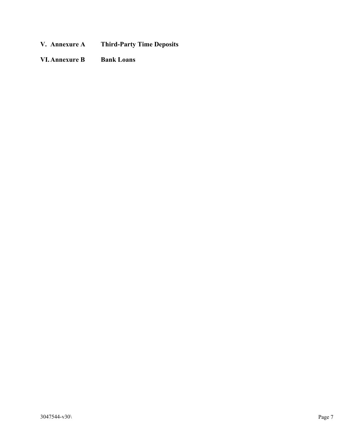- **V. Annexure A Third-Party Time Deposits**
- **VI.Annexure B Bank Loans**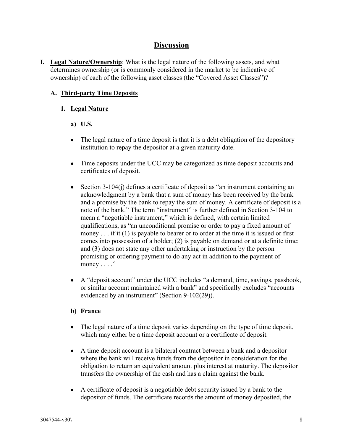### **Discussion**

**I. Legal Nature/Ownership**: What is the legal nature of the following assets, and what determines ownership (or is commonly considered in the market to be indicative of ownership) of each of the following asset classes (the "Covered Asset Classes")?

### **A. Third-party Time Deposits**

### **1. Legal Nature**

**a) U.S.**

- The legal nature of a time deposit is that it is a debt obligation of the depository institution to repay the depositor at a given maturity date.
- Time deposits under the UCC may be categorized as time deposit accounts and certificates of deposit.
- $\bullet$  Section 3-104(j) defines a certificate of deposit as "an instrument containing an acknowledgment by a bank that a sum of money has been received by the bank and a promise by the bank to repay the sum of money. A certificate of deposit is a note of the bank." The term "instrument" is further defined in Section 3-104 to mean a "negotiable instrument," which is defined, with certain limited qualifications, as "an unconditional promise or order to pay a fixed amount of money . . . if it (1) is payable to bearer or to order at the time it is issued or first comes into possession of a holder; (2) is payable on demand or at a definite time; and (3) does not state any other undertaking or instruction by the person promising or ordering payment to do any act in addition to the payment of money  $\dots$ ."
- A "deposit account" under the UCC includes "a demand, time, savings, passbook, or similar account maintained with a bank" and specifically excludes "accounts evidenced by an instrument" (Section 9-102(29)).

- The legal nature of a time deposit varies depending on the type of time deposit, which may either be a time deposit account or a certificate of deposit.
- A time deposit account is a bilateral contract between a bank and a depositor where the bank will receive funds from the depositor in consideration for the obligation to return an equivalent amount plus interest at maturity. The depositor transfers the ownership of the cash and has a claim against the bank.
- A certificate of deposit is a negotiable debt security issued by a bank to the depositor of funds. The certificate records the amount of money deposited, the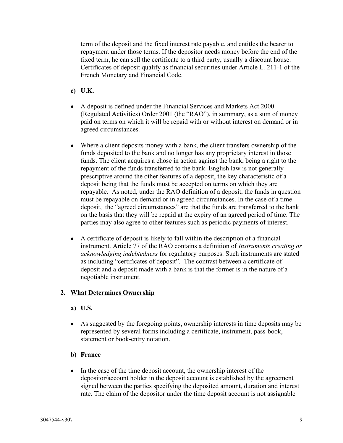term of the deposit and the fixed interest rate payable, and entitles the bearer to repayment under those terms. If the depositor needs money before the end of the fixed term, he can sell the certificate to a third party, usually a discount house. Certificates of deposit qualify as financial securities under Article L. 211-1 of the French Monetary and Financial Code.

- **c) U.K.**
- A deposit is defined under the Financial Services and Markets Act 2000 (Regulated Activities) Order 2001 (the "RAO"), in summary, as a sum of money paid on terms on which it will be repaid with or without interest on demand or in agreed circumstances.
- Where a client deposits money with a bank, the client transfers ownership of the funds deposited to the bank and no longer has any proprietary interest in those funds. The client acquires a chose in action against the bank, being a right to the repayment of the funds transferred to the bank. English law is not generally prescriptive around the other features of a deposit, the key characteristic of a deposit being that the funds must be accepted on terms on which they are repayable. As noted, under the RAO definition of a deposit, the funds in question must be repayable on demand or in agreed circumstances. In the case of a time deposit, the "agreed circumstances" are that the funds are transferred to the bank on the basis that they will be repaid at the expiry of an agreed period of time. The parties may also agree to other features such as periodic payments of interest.
- A certificate of deposit is likely to fall within the description of a financial instrument. Article 77 of the RAO contains a definition of *Instruments creating or acknowledging indebtedness* for regulatory purposes. Such instruments are stated as including "certificates of deposit". The contrast between a certificate of deposit and a deposit made with a bank is that the former is in the nature of a negotiable instrument.

### **2. What Determines Ownership**

- **a) U.S.**
- As suggested by the foregoing points, ownership interests in time deposits may be represented by several forms including a certificate, instrument, pass-book, statement or book-entry notation.
- **b) France**
- In the case of the time deposit account, the ownership interest of the depositor/account holder in the deposit account is established by the agreement signed between the parties specifying the deposited amount, duration and interest rate. The claim of the depositor under the time deposit account is not assignable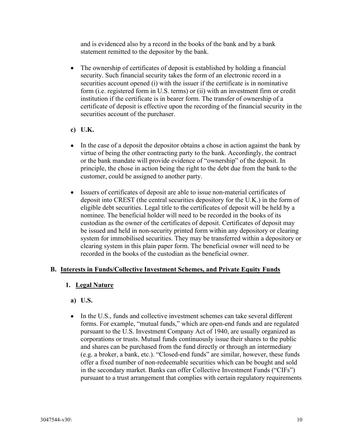and is evidenced also by a record in the books of the bank and by a bank statement remitted to the depositor by the bank.

- The ownership of certificates of deposit is established by holding a financial security. Such financial security takes the form of an electronic record in a securities account opened (i) with the issuer if the certificate is in nominative form (i.e. registered form in U.S. terms) or (ii) with an investment firm or credit institution if the certificate is in bearer form. The transfer of ownership of a certificate of deposit is effective upon the recording of the financial security in the securities account of the purchaser.
- **c) U.K.**
- In the case of a deposit the depositor obtains a chose in action against the bank by virtue of being the other contracting party to the bank. Accordingly, the contract or the bank mandate will provide evidence of "ownership" of the deposit. In principle, the chose in action being the right to the debt due from the bank to the customer, could be assigned to another party.
- Issuers of certificates of deposit are able to issue non-material certificates of deposit into CREST (the central securities depository for the U.K.) in the form of eligible debt securities. Legal title to the certificates of deposit will be held by a nominee. The beneficial holder will need to be recorded in the books of its custodian as the owner of the certificates of deposit. Certificates of deposit may be issued and held in non-security printed form within any depository or clearing system for immobilised securities. They may be transferred within a depository or clearing system in this plain paper form. The beneficial owner will need to be recorded in the books of the custodian as the beneficial owner.

### **B. Interests in Funds/Collective Investment Schemes, and Private Equity Funds**

### **1. Legal Nature**

- **a) U.S.**
- In the U.S., funds and collective investment schemes can take several different forms. For example, "mutual funds," which are open-end funds and are regulated pursuant to the U.S. Investment Company Act of 1940, are usually organized as corporations or trusts. Mutual funds continuously issue their shares to the public and shares can be purchased from the fund directly or through an intermediary (e.g. a broker, a bank, etc.). "Closed-end funds" are similar, however, these funds offer a fixed number of non-redeemable securities which can be bought and sold in the secondary market. Banks can offer Collective Investment Funds ("CIFs") pursuant to a trust arrangement that complies with certain regulatory requirements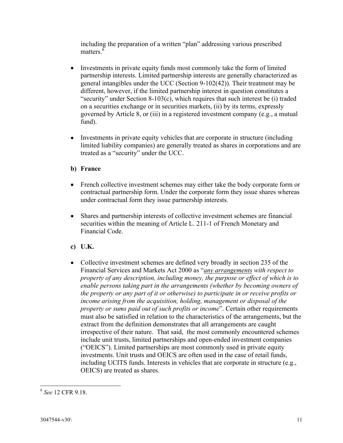including the preparation of a written "plan" addressing various prescribed matters<sup>6</sup>

- Investments in private equity funds most commonly take the form of limited partnership interests. Limited partnership interests are generally characterized as general intangibles under the UCC (Section 9-102(42)). Their treatment may be different, however, if the limited partnership interest in question constitutes a "security" under Section 8-103(c), which requires that such interest be (i) traded on a securities exchange or in securities markets, (ii) by its terms, expressly governed by Article 8, or (iii) in a registered investment company (e.g., a mutual fund).
- Investments in private equity vehicles that are corporate in structure (including limited liability companies) are generally treated as shares in corporations and are treated as a "security" under the UCC.

### **b) France**

- French collective investment schemes may either take the body corporate form or contractual partnership form. Under the corporate form they issue shares whereas under contractual form they issue partnership interests.
- Shares and partnership interests of collective investment schemes are financial securities within the meaning of Article L. 211-1 of French Monetary and Financial Code.
- **c) U.K.**
- Collective investment schemes are defined very broadly in section 235 of the Financial Services and Markets Act 2000 as "*any arrangements with respect to property of any description, including money, the purpose or effect of which is to enable persons taking part in the arrangements (whether by becoming owners of the property or any part of it or otherwise) to participate in or receive profits or income arising from the acquisition, holding, management or disposal of the property or sums paid out of such profits or income*". Certain other requirements must also be satisfied in relation to the characteristics of the arrangements, but the extract from the definition demonstrates that all arrangements are caught irrespective of their nature. That said, the most commonly encountered schemes include unit trusts, limited partnerships and open-ended investment companies ("OEICS"). Limited partnerships are most commonly used in private equity investments. Unit trusts and OEICS are often used in the case of retail funds, including UCITS funds. Interests in vehicles that are corporate in structure (e.g., OEICS) are treated as shares.

<sup>6</sup> *See* 12 CFR 9.18.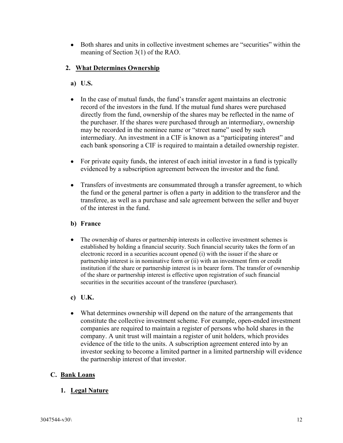Both shares and units in collective investment schemes are "securities" within the meaning of Section 3(1) of the RAO.

### **2. What Determines Ownership**

- **a) U.S.**
- In the case of mutual funds, the fund's transfer agent maintains an electronic record of the investors in the fund. If the mutual fund shares were purchased directly from the fund, ownership of the shares may be reflected in the name of the purchaser. If the shares were purchased through an intermediary, ownership may be recorded in the nominee name or "street name" used by such intermediary. An investment in a CIF is known as a "participating interest" and each bank sponsoring a CIF is required to maintain a detailed ownership register.
- For private equity funds, the interest of each initial investor in a fund is typically evidenced by a subscription agreement between the investor and the fund.
- Transfers of investments are consummated through a transfer agreement, to which the fund or the general partner is often a party in addition to the transferor and the transferee, as well as a purchase and sale agreement between the seller and buyer of the interest in the fund.

### **b) France**

- The ownership of shares or partnership interests in collective investment schemes is established by holding a financial security. Such financial security takes the form of an electronic record in a securities account opened (i) with the issuer if the share or partnership interest is in nominative form or (ii) with an investment firm or credit institution if the share or partnership interest is in bearer form. The transfer of ownership of the share or partnership interest is effective upon registration of such financial securities in the securities account of the transferee (purchaser).
- **c) U.K.**
- What determines ownership will depend on the nature of the arrangements that constitute the collective investment scheme. For example, open-ended investment companies are required to maintain a register of persons who hold shares in the company. A unit trust will maintain a register of unit holders, which provides evidence of the title to the units. A subscription agreement entered into by an investor seeking to become a limited partner in a limited partnership will evidence the partnership interest of that investor.

### **C. Bank Loans**

### **1. Legal Nature**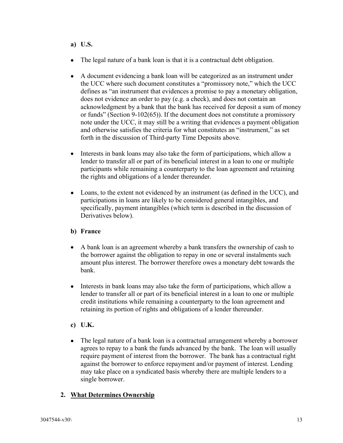### **a) U.S.**

- The legal nature of a bank loan is that it is a contractual debt obligation.
- A document evidencing a bank loan will be categorized as an instrument under the UCC where such document constitutes a "promissory note," which the UCC defines as "an instrument that evidences a promise to pay a monetary obligation, does not evidence an order to pay (e.g. a check), and does not contain an acknowledgment by a bank that the bank has received for deposit a sum of money or funds" (Section 9-102(65)). If the document does not constitute a promissory note under the UCC, it may still be a writing that evidences a payment obligation and otherwise satisfies the criteria for what constitutes an "instrument," as set forth in the discussion of Third-party Time Deposits above.
- Interests in bank loans may also take the form of participations, which allow a lender to transfer all or part of its beneficial interest in a loan to one or multiple participants while remaining a counterparty to the loan agreement and retaining the rights and obligations of a lender thereunder.
- Loans, to the extent not evidenced by an instrument (as defined in the UCC), and participations in loans are likely to be considered general intangibles, and specifically, payment intangibles (which term is described in the discussion of Derivatives below).

### **b) France**

- A bank loan is an agreement whereby a bank transfers the ownership of cash to the borrower against the obligation to repay in one or several instalments such amount plus interest. The borrower therefore owes a monetary debt towards the bank.
- Interests in bank loans may also take the form of participations, which allow a lender to transfer all or part of its beneficial interest in a loan to one or multiple credit institutions while remaining a counterparty to the loan agreement and retaining its portion of rights and obligations of a lender thereunder.
- **c) U.K.**
- The legal nature of a bank loan is a contractual arrangement whereby a borrower agrees to repay to a bank the funds advanced by the bank. The loan will usually require payment of interest from the borrower. The bank has a contractual right against the borrower to enforce repayment and/or payment of interest. Lending may take place on a syndicated basis whereby there are multiple lenders to a single borrower.

### **2. What Determines Ownership**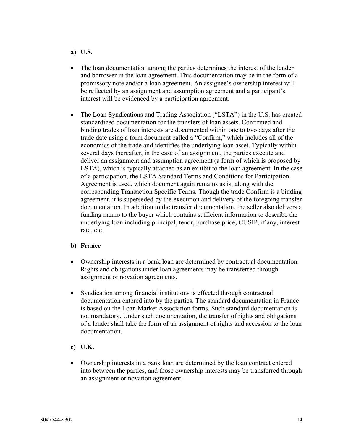#### **a) U.S.**

- The loan documentation among the parties determines the interest of the lender and borrower in the loan agreement. This documentation may be in the form of a promissory note and/or a loan agreement. An assignee's ownership interest will be reflected by an assignment and assumption agreement and a participant's interest will be evidenced by a participation agreement.
- The Loan Syndications and Trading Association ("LSTA") in the U.S. has created standardized documentation for the transfers of loan assets. Confirmed and binding trades of loan interests are documented within one to two days after the trade date using a form document called a "Confirm," which includes all of the economics of the trade and identifies the underlying loan asset. Typically within several days thereafter, in the case of an assignment, the parties execute and deliver an assignment and assumption agreement (a form of which is proposed by LSTA), which is typically attached as an exhibit to the loan agreement. In the case of a participation, the LSTA Standard Terms and Conditions for Participation Agreement is used, which document again remains as is, along with the corresponding Transaction Specific Terms. Though the trade Confirm is a binding agreement, it is superseded by the execution and delivery of the foregoing transfer documentation. In addition to the transfer documentation, the seller also delivers a funding memo to the buyer which contains sufficient information to describe the underlying loan including principal, tenor, purchase price, CUSIP, if any, interest rate, etc.

- Ownership interests in a bank loan are determined by contractual documentation. Rights and obligations under loan agreements may be transferred through assignment or novation agreements.
- Syndication among financial institutions is effected through contractual documentation entered into by the parties. The standard documentation in France is based on the Loan Market Association forms. Such standard documentation is not mandatory. Under such documentation, the transfer of rights and obligations of a lender shall take the form of an assignment of rights and accession to the loan documentation.
- **c) U.K.**
- Ownership interests in a bank loan are determined by the loan contract entered into between the parties, and those ownership interests may be transferred through an assignment or novation agreement.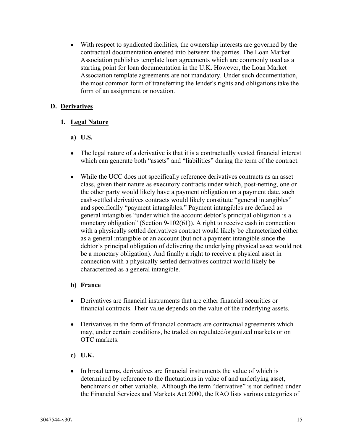With respect to syndicated facilities, the ownership interests are governed by the contractual documentation entered into between the parties. The Loan Market Association publishes template loan agreements which are commonly used as a starting point for loan documentation in the U.K. However, the Loan Market Association template agreements are not mandatory. Under such documentation, the most common form of transferring the lender's rights and obligations take the form of an assignment or novation.

### **D. Derivatives**

### **1. Legal Nature**

- **a) U.S.**
- The legal nature of a derivative is that it is a contractually vested financial interest which can generate both "assets" and "liabilities" during the term of the contract.
- While the UCC does not specifically reference derivatives contracts as an asset class, given their nature as executory contracts under which, post-netting, one or the other party would likely have a payment obligation on a payment date, such cash-settled derivatives contracts would likely constitute "general intangibles" and specifically "payment intangibles." Payment intangibles are defined as general intangibles "under which the account debtor's principal obligation is a monetary obligation" (Section 9-102(61)). A right to receive cash in connection with a physically settled derivatives contract would likely be characterized either as a general intangible or an account (but not a payment intangible since the debtor's principal obligation of delivering the underlying physical asset would not be a monetary obligation). And finally a right to receive a physical asset in connection with a physically settled derivatives contract would likely be characterized as a general intangible.

- Derivatives are financial instruments that are either financial securities or financial contracts. Their value depends on the value of the underlying assets.
- Derivatives in the form of financial contracts are contractual agreements which may, under certain conditions, be traded on regulated/organized markets or on OTC markets.
- **c) U.K.**
- In broad terms, derivatives are financial instruments the value of which is determined by reference to the fluctuations in value of and underlying asset, benchmark or other variable. Although the term "derivative" is not defined under the Financial Services and Markets Act 2000, the RAO lists various categories of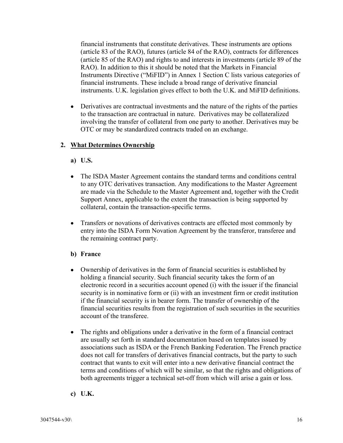financial instruments that constitute derivatives. These instruments are options (article 83 of the RAO), futures (article 84 of the RAO), contracts for differences (article 85 of the RAO) and rights to and interests in investments (article 89 of the RAO). In addition to this it should be noted that the Markets in Financial Instruments Directive ("MiFID") in Annex 1 Section C lists various categories of financial instruments. These include a broad range of derivative financial instruments. U.K. legislation gives effect to both the U.K. and MiFID definitions.

 Derivatives are contractual investments and the nature of the rights of the parties to the transaction are contractual in nature. Derivatives may be collateralized involving the transfer of collateral from one party to another. Derivatives may be OTC or may be standardized contracts traded on an exchange.

### **2. What Determines Ownership**

- **a) U.S.**
- The ISDA Master Agreement contains the standard terms and conditions central to any OTC derivatives transaction. Any modifications to the Master Agreement are made via the Schedule to the Master Agreement and, together with the Credit Support Annex, applicable to the extent the transaction is being supported by collateral, contain the transaction-specific terms.
- Transfers or novations of derivatives contracts are effected most commonly by entry into the ISDA Form Novation Agreement by the transferor, transferee and the remaining contract party.

- Ownership of derivatives in the form of financial securities is established by holding a financial security. Such financial security takes the form of an electronic record in a securities account opened (i) with the issuer if the financial security is in nominative form or (ii) with an investment firm or credit institution if the financial security is in bearer form. The transfer of ownership of the financial securities results from the registration of such securities in the securities account of the transferee.
- The rights and obligations under a derivative in the form of a financial contract are usually set forth in standard documentation based on templates issued by associations such as ISDA or the French Banking Federation. The French practice does not call for transfers of derivatives financial contracts, but the party to such contract that wants to exit will enter into a new derivative financial contract the terms and conditions of which will be similar, so that the rights and obligations of both agreements trigger a technical set-off from which will arise a gain or loss.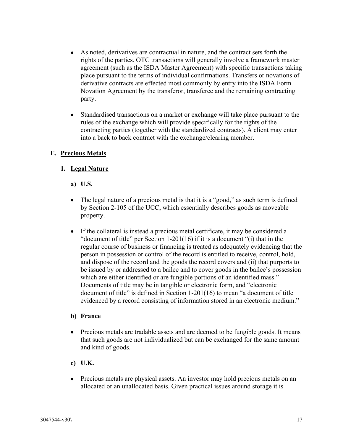- As noted, derivatives are contractual in nature, and the contract sets forth the rights of the parties. OTC transactions will generally involve a framework master agreement (such as the ISDA Master Agreement) with specific transactions taking place pursuant to the terms of individual confirmations. Transfers or novations of derivative contracts are effected most commonly by entry into the ISDA Form Novation Agreement by the transferor, transferee and the remaining contracting party.
- Standardised transactions on a market or exchange will take place pursuant to the rules of the exchange which will provide specifically for the rights of the contracting parties (together with the standardized contracts). A client may enter into a back to back contract with the exchange/clearing member.

### **E. Precious Metals**

### **1. Legal Nature**

**a) U.S.**

- The legal nature of a precious metal is that it is a "good," as such term is defined by Section 2-105 of the UCC, which essentially describes goods as moveable property.
- If the collateral is instead a precious metal certificate, it may be considered a "document of title" per Section 1-201(16) if it is a document "(i) that in the regular course of business or financing is treated as adequately evidencing that the person in possession or control of the record is entitled to receive, control, hold, and dispose of the record and the goods the record covers and (ii) that purports to be issued by or addressed to a bailee and to cover goods in the bailee's possession which are either identified or are fungible portions of an identified mass." Documents of title may be in tangible or electronic form, and "electronic document of title" is defined in Section 1-201(16) to mean "a document of title evidenced by a record consisting of information stored in an electronic medium."

- Precious metals are tradable assets and are deemed to be fungible goods. It means that such goods are not individualized but can be exchanged for the same amount and kind of goods.
- **c) U.K.**
- Precious metals are physical assets. An investor may hold precious metals on an allocated or an unallocated basis. Given practical issues around storage it is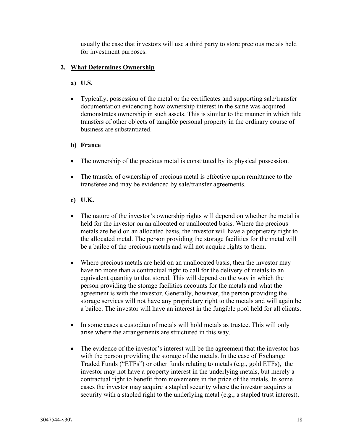usually the case that investors will use a third party to store precious metals held for investment purposes.

### **2. What Determines Ownership**

- **a) U.S.**
- Typically, possession of the metal or the certificates and supporting sale/transfer documentation evidencing how ownership interest in the same was acquired demonstrates ownership in such assets. This is similar to the manner in which title transfers of other objects of tangible personal property in the ordinary course of business are substantiated.

- The ownership of the precious metal is constituted by its physical possession.
- The transfer of ownership of precious metal is effective upon remittance to the transferee and may be evidenced by sale/transfer agreements.
- **c) U.K.**
- The nature of the investor's ownership rights will depend on whether the metal is held for the investor on an allocated or unallocated basis. Where the precious metals are held on an allocated basis, the investor will have a proprietary right to the allocated metal. The person providing the storage facilities for the metal will be a bailee of the precious metals and will not acquire rights to them.
- Where precious metals are held on an unallocated basis, then the investor may have no more than a contractual right to call for the delivery of metals to an equivalent quantity to that stored. This will depend on the way in which the person providing the storage facilities accounts for the metals and what the agreement is with the investor. Generally, however, the person providing the storage services will not have any proprietary right to the metals and will again be a bailee. The investor will have an interest in the fungible pool held for all clients.
- In some cases a custodian of metals will hold metals as trustee. This will only arise where the arrangements are structured in this way.
- The evidence of the investor's interest will be the agreement that the investor has with the person providing the storage of the metals. In the case of Exchange Traded Funds ("ETFs") or other funds relating to metals (e.g., gold ETFs), the investor may not have a property interest in the underlying metals, but merely a contractual right to benefit from movements in the price of the metals. In some cases the investor may acquire a stapled security where the investor acquires a security with a stapled right to the underlying metal (e.g., a stapled trust interest).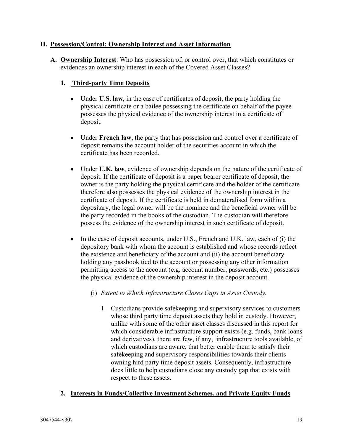#### **II. Possession/Control: Ownership Interest and Asset Information**

**A. Ownership Interest**: Who has possession of, or control over, that which constitutes or evidences an ownership interest in each of the Covered Asset Classes?

### **1. Third-party Time Deposits**

- Under **U.S. law**, in the case of certificates of deposit, the party holding the physical certificate or a bailee possessing the certificate on behalf of the payee possesses the physical evidence of the ownership interest in a certificate of deposit.
- Under **French law**, the party that has possession and control over a certificate of deposit remains the account holder of the securities account in which the certificate has been recorded.
- Under **U.K. law**, evidence of ownership depends on the nature of the certificate of deposit. If the certificate of deposit is a paper bearer certificate of deposit, the owner is the party holding the physical certificate and the holder of the certificate therefore also possesses the physical evidence of the ownership interest in the certificate of deposit. If the certificate is held in demateralised form within a depositary, the legal owner will be the nominee and the beneficial owner will be the party recorded in the books of the custodian. The custodian will therefore possess the evidence of the ownership interest in such certificate of deposit.
- $\bullet$  In the case of deposit accounts, under U.S., French and U.K. law, each of (i) the depository bank with whom the account is established and whose records reflect the existence and beneficiary of the account and (ii) the account beneficiary holding any passbook tied to the account or possessing any other information permitting access to the account (e.g. account number, passwords, etc.) possesses the physical evidence of the ownership interest in the deposit account.
	- (i) *Extent to Which Infrastructure Closes Gaps in Asset Custody.*
		- 1. Custodians provide safekeeping and supervisory services to customers whose third party time deposit assets they hold in custody. However, unlike with some of the other asset classes discussed in this report for which considerable infrastructure support exists (e.g. funds, bank loans and derivatives), there are few, if any, infrastructure tools available, of which custodians are aware, that better enable them to satisfy their safekeeping and supervisory responsibilities towards their clients owning hird party time deposit assets. Consequently, infrastructure does little to help custodians close any custody gap that exists with respect to these assets.

### **2. Interests in Funds/Collective Investment Schemes, and Private Equity Funds**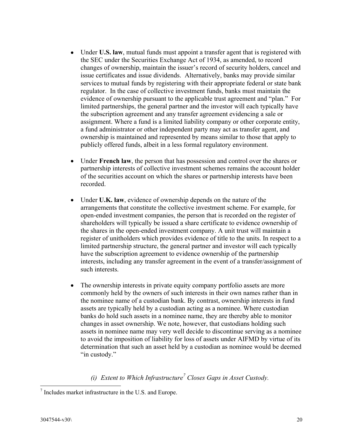- Under **U.S. law**, mutual funds must appoint a transfer agent that is registered with the SEC under the Securities Exchange Act of 1934, as amended, to record changes of ownership, maintain the issuer's record of security holders, cancel and issue certificates and issue dividends. Alternatively, banks may provide similar services to mutual funds by registering with their appropriate federal or state bank regulator. In the case of collective investment funds, banks must maintain the evidence of ownership pursuant to the applicable trust agreement and "plan." For limited partnerships, the general partner and the investor will each typically have the subscription agreement and any transfer agreement evidencing a sale or assignment. Where a fund is a limited liability company or other corporate entity, a fund administrator or other independent party may act as transfer agent, and ownership is maintained and represented by means similar to those that apply to publicly offered funds, albeit in a less formal regulatory environment.
- Under **French law**, the person that has possession and control over the shares or partnership interests of collective investment schemes remains the account holder of the securities account on which the shares or partnership interests have been recorded.
- Under **U.K. law**, evidence of ownership depends on the nature of the arrangements that constitute the collective investment scheme. For example, for open-ended investment companies, the person that is recorded on the register of shareholders will typically be issued a share certificate to evidence ownership of the shares in the open-ended investment company. A unit trust will maintain a register of unitholders which provides evidence of title to the units. In respect to a limited partnership structure, the general partner and investor will each typically have the subscription agreement to evidence ownership of the partnership interests, including any transfer agreement in the event of a transfer/assignment of such interests.
- The ownership interests in private equity company portfolio assets are more commonly held by the owners of such interests in their own names rather than in the nominee name of a custodian bank. By contrast, ownership interests in fund assets are typically held by a custodian acting as a nominee. Where custodian banks do hold such assets in a nominee name, they are thereby able to monitor changes in asset ownership. We note, however, that custodians holding such assets in nominee name may very well decide to discontinue serving as a nominee to avoid the imposition of liability for loss of assets under AIFMD by virtue of its determination that such an asset held by a custodian as nominee would be deemed "in custody."

## *(i) Extent to Which Infrastructure<sup>7</sup> Closes Gaps in Asset Custody.*

 7 Includes market infrastructure in the U.S. and Europe.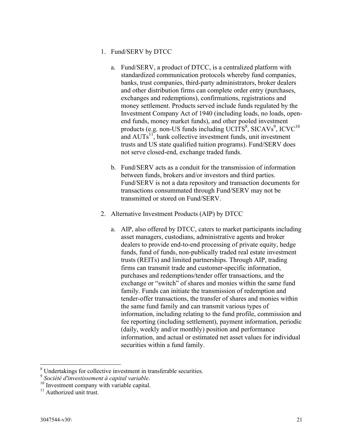- 1. Fund/SERV by DTCC
	- a. Fund/SERV, a product of DTCC, is a centralized platform with standardized communication protocols whereby fund companies, banks, trust companies, third-party administrators, broker dealers and other distribution firms can complete order entry (purchases, exchanges and redemptions), confirmations, registrations and money settlement. Products served include funds regulated by the Investment Company Act of 1940 (including loads, no loads, openend funds, money market funds), and other pooled investment products (e.g. non-US funds including UCITS<sup>8</sup>, SICAVs<sup>9</sup>, ICVC<sup>10</sup> and  $AUTs<sup>11</sup>$ , bank collective investment funds, unit investment trusts and US state qualified tuition programs). Fund/SERV does not serve closed-end, exchange traded funds.
	- b. Fund/SERV acts as a conduit for the transmission of information between funds, brokers and/or investors and third parties. Fund/SERV is not a data repository and transaction documents for transactions consummated through Fund/SERV may not be transmitted or stored on Fund/SERV.
- 2. Alternative Investment Products (AIP) by DTCC
	- a. AIP, also offered by DTCC, caters to market participants including asset managers, custodians, administrative agents and broker dealers to provide end-to-end processing of private equity, hedge funds, fund of funds, non-publically traded real estate investment trusts (REITs) and limited partnerships. Through AIP, trading firms can transmit trade and customer-specific information, purchases and redemptions/tender offer transactions, and the exchange or "switch" of shares and monies within the same fund family. Funds can initiate the transmission of redemption and tender-offer transactions, the transfer of shares and monies within the same fund family and can transmit various types of information, including relating to the fund profile, commission and fee reporting (including settlement), payment information, periodic (daily, weekly and/or monthly) position and performance information, and actual or estimated net asset values for individual securities within a fund family.

 $\overline{a}$ 

 $8$  Undertakings for collective investment in transferable securities.

<sup>9</sup> *Société d'investissement à capital variable*.

<sup>&</sup>lt;sup>10</sup> Investment company with variable capital.

 $11$  Authorized unit trust.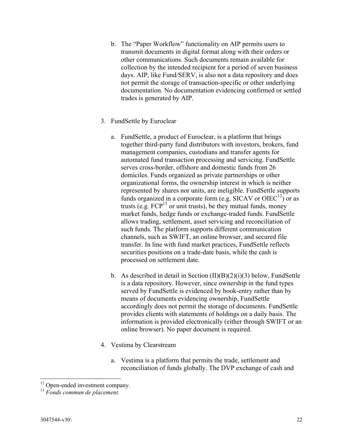- b. The "Paper Workflow" functionality on AIP permits users to transmit documents in digital format along with their orders or other communications. Such documents remain available for collection by the intended recipient for a period of seven business days. AIP, like Fund/SERV, is also not a data repository and does not permit the storage of transaction-specific or other underlying documentation. No documentation evidencing confirmed or settled trades is generated by AIP.
- 3. FundSettle by Euroclear
	- a. FundSettle, a product of Euroclear, is a platform that brings together third-party fund distributors with investors, brokers, fund management companies, custodians and transfer agents for automated fund transaction processing and servicing. FundSettle serves cross-border, offshore and domestic funds from 26 domiciles. Funds organized as private partnerships or other organizational forms, the ownership interest in which is neither represented by shares nor units, are ineligible. FundSettle supports funds organized in a corporate form (e.g. SICAV or  $OIEC<sup>12</sup>$ ) or as trusts (e.g.  $FCP<sup>13</sup>$  or unit trusts), be they mutual funds, money market funds, hedge funds or exchange-traded funds. FundSettle allows trading, settlement, asset servicing and reconciliation of such funds. The platform supports different communication channels, such as SWIFT, an online browser, and secured file transfer. In line with fund market practices, FundSettle reflects securities positions on a trade-date basis, while the cash is processed on settlement date.
	- b. As described in detail in Section  $(II)(B)(2)(i)(3)$  below, FundSettle is a data repository. However, since ownership in the fund types served by FundSettle is evidenced by book-entry rather than by means of documents evidencing ownership, FundSettle accordingly does not permit the storage of documents. FundSettle provides clients with statements of holdings on a daily basis. The information is provided electronically (either through SWIFT or an online browser). No paper document is required.
- 4. Vestima by Clearstream
	- a. Vestima is a platform that permits the trade, settlement and reconciliation of funds globally. The DVP exchange of cash and

<sup>&</sup>lt;sup>12</sup> Open-ended investment company.

<sup>13</sup> *Fonds commun de placement.*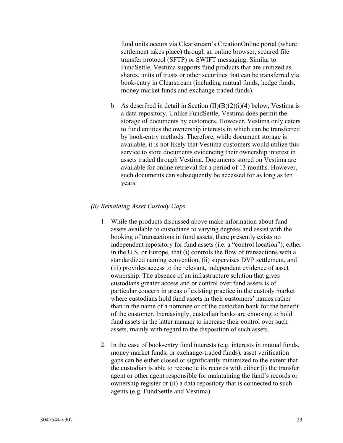fund units occurs via Clearstream's CreationOnline portal (where settlement takes place) through an online browser, secured file transfer protocol (SFTP) or SWIFT messaging. Similar to FundSettle, Vestima supports fund products that are unitized as shares, units of trusts or other securities that can be transferred via book-entry in Clearstream (including mutual funds, hedge funds, money market funds and exchange traded funds).

b. As described in detail in Section  $(II)(B)(2)(i)(4)$  below, Vestima is a data repository. Unlike FundSettle, Vestima does permit the storage of documents by customers. However, Vestima only caters to fund entities the ownership interests in which can be transferred by book-entry methods. Therefore, while document storage is available, it is not likely that Vestima customers would utilize this service to store documents evidencing their ownership interest in assets traded through Vestima. Documents stored on Vestima are available for online retrieval for a period of 13 months. However, such documents can subsequently be accessed for as long as ten years.

#### *(ii) Remaining Asset Custody Gaps*

- 1. While the products discussed above make information about fund assets available to custodians to varying degrees and assist with the booking of transactions in fund assets, there presently exists no independent repository for fund assets (i.e. a "control location"), either in the U.S. or Europe, that (i) controls the flow of transactions with a standardized naming convention, (ii) supervises DVP settlement, and (iii) provides access to the relevant, independent evidence of asset ownership. The absence of an infrastructure solution that gives custodians greater access and or control over fund assets is of particular concern in areas of existing practice in the custody market where custodians hold fund assets in their customers' names rather than in the name of a nominee or of the custodian bank for the benefit of the customer. Increasingly, custodian banks are choosing to hold fund assets in the latter manner to increase their control over such assets, mainly with regard to the disposition of such assets.
- 2. In the case of book-entry fund interests (e.g. interests in mutual funds, money market funds, or exchange-traded funds), asset verification gaps can be either closed or significantly minimized to the extent that the custodian is able to reconcile its records with either (i) the transfer agent or other agent responsible for maintaining the fund's records or ownership register or (ii) a data repository that is connected to such agents (e.g. FundSettle and Vestima).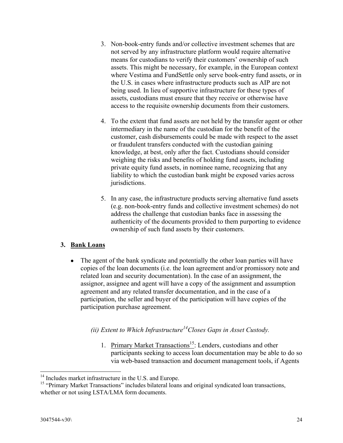- 3. Non-book-entry funds and/or collective investment schemes that are not served by any infrastructure platform would require alternative means for custodians to verify their customers' ownership of such assets. This might be necessary, for example, in the European context where Vestima and FundSettle only serve book-entry fund assets, or in the U.S. in cases where infrastructure products such as AIP are not being used. In lieu of supportive infrastructure for these types of assets, custodians must ensure that they receive or otherwise have access to the requisite ownership documents from their customers.
- 4. To the extent that fund assets are not held by the transfer agent or other intermediary in the name of the custodian for the benefit of the customer, cash disbursements could be made with respect to the asset or fraudulent transfers conducted with the custodian gaining knowledge, at best, only after the fact. Custodians should consider weighing the risks and benefits of holding fund assets, including private equity fund assets, in nominee name, recognizing that any liability to which the custodian bank might be exposed varies across jurisdictions.
- 5. In any case, the infrastructure products serving alternative fund assets (e.g. non-book-entry funds and collective investment schemes) do not address the challenge that custodian banks face in assessing the authenticity of the documents provided to them purporting to evidence ownership of such fund assets by their customers.

### **3. Bank Loans**

• The agent of the bank syndicate and potentially the other loan parties will have copies of the loan documents (i.e. the loan agreement and/or promissory note and related loan and security documentation). In the case of an assignment, the assignor, assignee and agent will have a copy of the assignment and assumption agreement and any related transfer documentation, and in the case of a participation, the seller and buyer of the participation will have copies of the participation purchase agreement.

## *(ii) Extent to Which Infrastructure<sup>14</sup>Closes Gaps in Asset Custody.*

1. Primary Market Transactions<sup>15</sup>: Lenders, custodians and other participants seeking to access loan documentation may be able to do so via web-based transaction and document management tools, if Agents

 $\overline{a}$ <sup>14</sup> Includes market infrastructure in the U.S. and Europe.

<sup>&</sup>lt;sup>15</sup> "Primary Market Transactions" includes bilateral loans and original syndicated loan transactions, whether or not using LSTA/LMA form documents.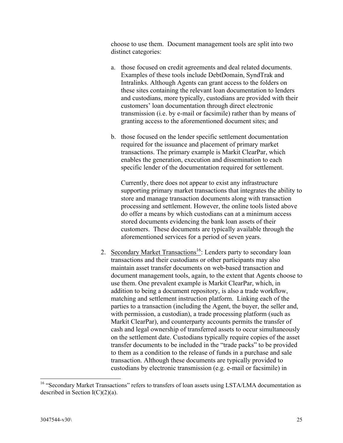choose to use them. Document management tools are split into two distinct categories:

- a. those focused on credit agreements and deal related documents. Examples of these tools include DebtDomain, SyndTrak and Intralinks. Although Agents can grant access to the folders on these sites containing the relevant loan documentation to lenders and custodians, more typically, custodians are provided with their customers' loan documentation through direct electronic transmission (i.e. by e-mail or facsimile) rather than by means of granting access to the aforementioned document sites; and
- b. those focused on the lender specific settlement documentation required for the issuance and placement of primary market transactions. The primary example is Markit ClearPar, which enables the generation, execution and dissemination to each specific lender of the documentation required for settlement.

Currently, there does not appear to exist any infrastructure supporting primary market transactions that integrates the ability to store and manage transaction documents along with transaction processing and settlement. However, the online tools listed above do offer a means by which custodians can at a minimum access stored documents evidencing the bank loan assets of their customers. These documents are typically available through the aforementioned services for a period of seven years.

2. Secondary Market Transactions<sup>16</sup>: Lenders party to secondary loan transactions and their custodians or other participants may also maintain asset transfer documents on web-based transaction and document management tools, again, to the extent that Agents choose to use them. One prevalent example is Markit ClearPar, which, in addition to being a document repository, is also a trade workflow, matching and settlement instruction platform. Linking each of the parties to a transaction (including the Agent, the buyer, the seller and, with permission, a custodian), a trade processing platform (such as Markit ClearPar), and counterparty accounts permits the transfer of cash and legal ownership of transferred assets to occur simultaneously on the settlement date. Custodians typically require copies of the asset transfer documents to be included in the "trade packs" to be provided to them as a condition to the release of funds in a purchase and sale transaction. Although these documents are typically provided to custodians by electronic transmission (e.g. e-mail or facsimile) in

<sup>&</sup>lt;sup>16</sup> "Secondary Market Transactions" refers to transfers of loan assets using LSTA/LMA documentation as described in Section  $I(C)(2)(a)$ .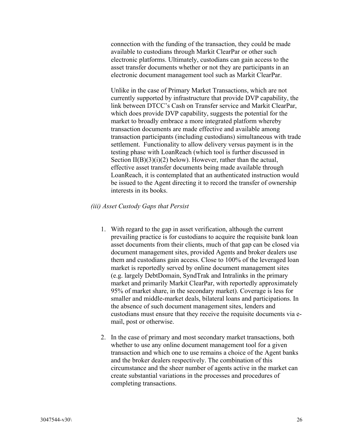connection with the funding of the transaction, they could be made available to custodians through Markit ClearPar or other such electronic platforms. Ultimately, custodians can gain access to the asset transfer documents whether or not they are participants in an electronic document management tool such as Markit ClearPar.

Unlike in the case of Primary Market Transactions, which are not currently supported by infrastructure that provide DVP capability, the link between DTCC's Cash on Transfer service and Markit ClearPar, which does provide DVP capability, suggests the potential for the market to broadly embrace a more integrated platform whereby transaction documents are made effective and available among transaction participants (including custodians) simultaneous with trade settlement. Functionality to allow delivery versus payment is in the testing phase with LoanReach (which tool is further discussed in Section  $II(B)(3)(i)(2)$  below). However, rather than the actual, effective asset transfer documents being made available through LoanReach, it is contemplated that an authenticated instruction would be issued to the Agent directing it to record the transfer of ownership interests in its books.

#### *(iii) Asset Custody Gaps that Persist*

- 1. With regard to the gap in asset verification, although the current prevailing practice is for custodians to acquire the requisite bank loan asset documents from their clients, much of that gap can be closed via document management sites, provided Agents and broker dealers use them and custodians gain access. Close to 100% of the leveraged loan market is reportedly served by online document management sites (e.g. largely DebtDomain, SyndTrak and Intralinks in the primary market and primarily Markit ClearPar, with reportedly approximately 95% of market share, in the secondary market). Coverage is less for smaller and middle-market deals, bilateral loans and participations. In the absence of such document management sites, lenders and custodians must ensure that they receive the requisite documents via email, post or otherwise.
- 2. In the case of primary and most secondary market transactions, both whether to use any online document management tool for a given transaction and which one to use remains a choice of the Agent banks and the broker dealers respectively. The combination of this circumstance and the sheer number of agents active in the market can create substantial variations in the processes and procedures of completing transactions.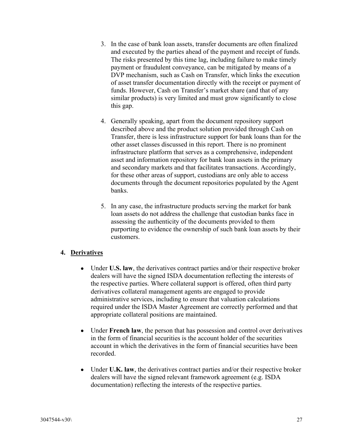- 3. In the case of bank loan assets, transfer documents are often finalized and executed by the parties ahead of the payment and receipt of funds. The risks presented by this time lag, including failure to make timely payment or fraudulent conveyance, can be mitigated by means of a DVP mechanism, such as Cash on Transfer, which links the execution of asset transfer documentation directly with the receipt or payment of funds. However, Cash on Transfer's market share (and that of any similar products) is very limited and must grow significantly to close this gap.
- 4. Generally speaking, apart from the document repository support described above and the product solution provided through Cash on Transfer, there is less infrastructure support for bank loans than for the other asset classes discussed in this report. There is no prominent infrastructure platform that serves as a comprehensive, independent asset and information repository for bank loan assets in the primary and secondary markets and that facilitates transactions. Accordingly, for these other areas of support, custodians are only able to access documents through the document repositories populated by the Agent banks.
- 5. In any case, the infrastructure products serving the market for bank loan assets do not address the challenge that custodian banks face in assessing the authenticity of the documents provided to them purporting to evidence the ownership of such bank loan assets by their customers.

### **4. Derivatives**

- Under **U.S. law**, the derivatives contract parties and/or their respective broker dealers will have the signed ISDA documentation reflecting the interests of the respective parties. Where collateral support is offered, often third party derivatives collateral management agents are engaged to provide administrative services, including to ensure that valuation calculations required under the ISDA Master Agreement are correctly performed and that appropriate collateral positions are maintained.
- Under **French law**, the person that has possession and control over derivatives in the form of financial securities is the account holder of the securities account in which the derivatives in the form of financial securities have been recorded.
- Under **U.K. law**, the derivatives contract parties and/or their respective broker dealers will have the signed relevant framework agreement (e.g. ISDA documentation) reflecting the interests of the respective parties.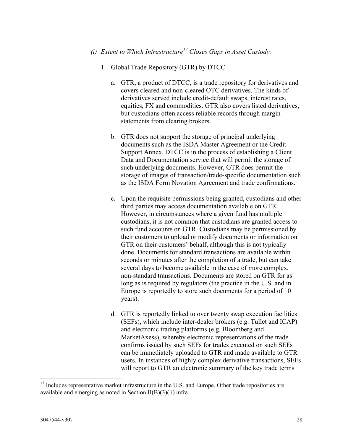## *(i) Extent to Which Infrastructure<sup>17</sup> Closes Gaps in Asset Custody.*

- 1. Global Trade Repository (GTR) by DTCC
	- a. GTR, a product of DTCC, is a trade repository for derivatives and covers cleared and non-cleared OTC derivatives. The kinds of derivatives served include credit-default swaps, interest rates, equities, FX and commodities. GTR also covers listed derivatives, but custodians often access reliable records through margin statements from clearing brokers.
	- b. GTR does not support the storage of principal underlying documents such as the ISDA Master Agreement or the Credit Support Annex. DTCC is in the process of establishing a Client Data and Documentation service that will permit the storage of such underlying documents. However, GTR does permit the storage of images of transaction/trade-specific documentation such as the ISDA Form Novation Agreement and trade confirmations.
	- c. Upon the requisite permissions being granted, custodians and other third parties may access documentation available on GTR. However, in circumstances where a given fund has multiple custodians, it is not common that custodians are granted access to such fund accounts on GTR. Custodians may be permissioned by their customers to upload or modify documents or information on GTR on their customers' behalf, although this is not typically done. Documents for standard transactions are available within seconds or minutes after the completion of a trade, but can take several days to become available in the case of more complex, non-standard transactions. Documents are stored on GTR for as long as is required by regulators (the practice in the U.S. and in Europe is reportedly to store such documents for a period of 10 years).
	- d. GTR is reportedly linked to over twenty swap execution facilities (SEFs), which include inter-dealer brokers (e.g. Tullet and ICAP) and electronic trading platforms (e.g. Bloomberg and MarketAxess), whereby electronic representations of the trade confirms issued by such SEFs for trades executed on such SEFs can be immediately uploaded to GTR and made available to GTR users. In instances of highly complex derivative transactions, SEFs will report to GTR an electronic summary of the key trade terms

 $17$  Includes representative market infrastructure in the U.S. and Europe. Other trade repositories are available and emerging as noted in Section II(B)(3)(ii) infra.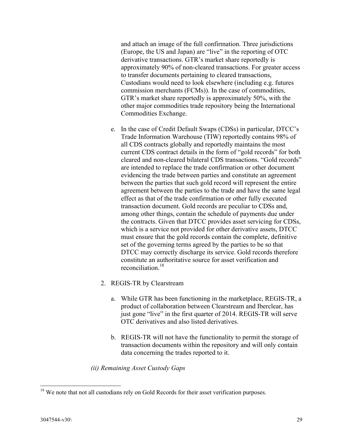and attach an image of the full confirmation. Three jurisdictions (Europe, the US and Japan) are "live" in the reporting of OTC derivative transactions. GTR's market share reportedly is approximately 90% of non-cleared transactions. For greater access to transfer documents pertaining to cleared transactions, Custodians would need to look elsewhere (including e.g. futures commission merchants (FCMs)). In the case of commodities, GTR's market share reportedly is approximately 50%, with the other major commodities trade repository being the International Commodities Exchange.

- e. In the case of Credit Default Swaps (CDSs) in particular, DTCC's Trade Information Warehouse (TIW) reportedly contains 98% of all CDS contracts globally and reportedly maintains the most current CDS contract details in the form of "gold records" for both cleared and non-cleared bilateral CDS transactions. "Gold records" are intended to replace the trade confirmation or other document evidencing the trade between parties and constitute an agreement between the parties that such gold record will represent the entire agreement between the parties to the trade and have the same legal effect as that of the trade confirmation or other fully executed transaction document. Gold records are peculiar to CDSs and, among other things, contain the schedule of payments due under the contracts. Given that DTCC provides asset servicing for CDSs, which is a service not provided for other derivative assets, DTCC must ensure that the gold records contain the complete, definitive set of the governing terms agreed by the parties to be so that DTCC may correctly discharge its service. Gold records therefore constitute an authoritative source for asset verification and reconciliation.<sup>18</sup>
- 2. REGIS-TR by Clearstream
	- a. While GTR has been functioning in the marketplace, REGIS-TR, a product of collaboration between Clearstream and Iberclear, has just gone "live" in the first quarter of 2014. REGIS-TR will serve OTC derivatives and also listed derivatives.
	- b. REGIS-TR will not have the functionality to permit the storage of transaction documents within the repository and will only contain data concerning the trades reported to it.

*(ii) Remaining Asset Custody Gaps*

 $18$  We note that not all custodians rely on Gold Records for their asset verification purposes.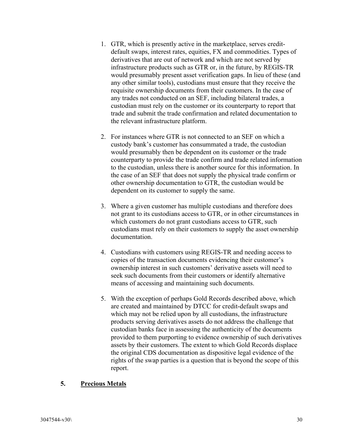- 1. GTR, which is presently active in the marketplace, serves creditdefault swaps, interest rates, equities, FX and commodities. Types of derivatives that are out of network and which are not served by infrastructure products such as GTR or, in the future, by REGIS-TR would presumably present asset verification gaps. In lieu of these (and any other similar tools), custodians must ensure that they receive the requisite ownership documents from their customers. In the case of any trades not conducted on an SEF, including bilateral trades, a custodian must rely on the customer or its counterparty to report that trade and submit the trade confirmation and related documentation to the relevant infrastructure platform.
- 2. For instances where GTR is not connected to an SEF on which a custody bank's customer has consummated a trade, the custodian would presumably then be dependent on its customer or the trade counterparty to provide the trade confirm and trade related information to the custodian, unless there is another source for this information. In the case of an SEF that does not supply the physical trade confirm or other ownership documentation to GTR, the custodian would be dependent on its customer to supply the same.
- 3. Where a given customer has multiple custodians and therefore does not grant to its custodians access to GTR, or in other circumstances in which customers do not grant custodians access to GTR, such custodians must rely on their customers to supply the asset ownership documentation.
- 4. Custodians with customers using REGIS-TR and needing access to copies of the transaction documents evidencing their customer's ownership interest in such customers' derivative assets will need to seek such documents from their customers or identify alternative means of accessing and maintaining such documents.
- 5. With the exception of perhaps Gold Records described above, which are created and maintained by DTCC for credit-default swaps and which may not be relied upon by all custodians, the infrastructure products serving derivatives assets do not address the challenge that custodian banks face in assessing the authenticity of the documents provided to them purporting to evidence ownership of such derivatives assets by their customers. The extent to which Gold Records displace the original CDS documentation as dispositive legal evidence of the rights of the swap parties is a question that is beyond the scope of this report.

### **5. Precious Metals**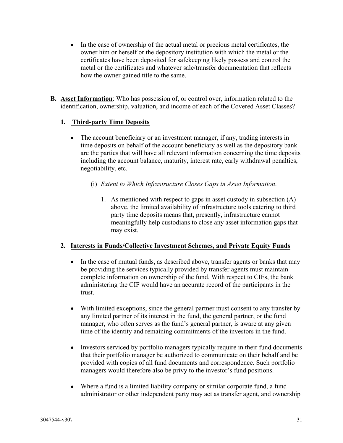- In the case of ownership of the actual metal or precious metal certificates, the owner him or herself or the depository institution with which the metal or the certificates have been deposited for safekeeping likely possess and control the metal or the certificates and whatever sale/transfer documentation that reflects how the owner gained title to the same.
- **B. Asset Information**: Who has possession of, or control over, information related to the identification, ownership, valuation, and income of each of the Covered Asset Classes?

### **1. Third-party Time Deposits**

- The account beneficiary or an investment manager, if any, trading interests in time deposits on behalf of the account beneficiary as well as the depository bank are the parties that will have all relevant information concerning the time deposits including the account balance, maturity, interest rate, early withdrawal penalties, negotiability, etc.
	- (i) *Extent to Which Infrastructure Closes Gaps in Asset Information*.
		- 1. As mentioned with respect to gaps in asset custody in subsection (A) above, the limited availability of infrastructure tools catering to third party time deposits means that, presently, infrastructure cannot meaningfully help custodians to close any asset information gaps that may exist.

### **2. Interests in Funds/Collective Investment Schemes, and Private Equity Funds**

- In the case of mutual funds, as described above, transfer agents or banks that may be providing the services typically provided by transfer agents must maintain complete information on ownership of the fund. With respect to CIFs, the bank administering the CIF would have an accurate record of the participants in the trust.
- With limited exceptions, since the general partner must consent to any transfer by any limited partner of its interest in the fund, the general partner, or the fund manager, who often serves as the fund's general partner, is aware at any given time of the identity and remaining commitments of the investors in the fund.
- Investors serviced by portfolio managers typically require in their fund documents that their portfolio manager be authorized to communicate on their behalf and be provided with copies of all fund documents and correspondence. Such portfolio managers would therefore also be privy to the investor's fund positions.
- Where a fund is a limited liability company or similar corporate fund, a fund administrator or other independent party may act as transfer agent, and ownership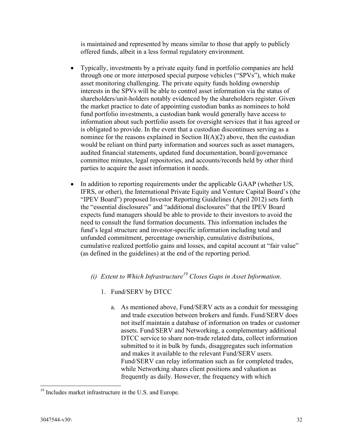is maintained and represented by means similar to those that apply to publicly offered funds, albeit in a less formal regulatory environment.

- Typically, investments by a private equity fund in portfolio companies are held through one or more interposed special purpose vehicles ("SPVs"), which make asset monitoring challenging. The private equity funds holding ownership interests in the SPVs will be able to control asset information via the status of shareholders/unit-holders notably evidenced by the shareholders register. Given the market practice to date of appointing custodian banks as nominees to hold fund portfolio investments, a custodian bank would generally have access to information about such portfolio assets for oversight services that it has agreed or is obligated to provide. In the event that a custodian discontinues serving as a nominee for the reasons explained in Section  $II(A)(2)$  above, then the custodian would be reliant on third party information and sources such as asset managers, audited financial statements, updated fund documentation, board/governance committee minutes, legal repositories, and accounts/records held by other third parties to acquire the asset information it needs.
- In addition to reporting requirements under the applicable GAAP (whether US, IFRS, or other), the International Private Equity and Venture Capital Board's (the "IPEV Board") proposed Investor Reporting Guidelines (April 2012) sets forth the "essential disclosures" and "additional disclosures" that the IPEV Board expects fund managers should be able to provide to their investors to avoid the need to consult the fund formation documents. This information includes the fund's legal structure and investor-specific information including total and unfunded commitment, percentage ownership, cumulative distributions, cumulative realized portfolio gains and losses, and capital account at "fair value" (as defined in the guidelines) at the end of the reporting period.
	- *(i) Extent to Which Infrastructure<sup>19</sup> Closes Gaps in Asset Information*.
		- 1. Fund/SERV by DTCC
			- a. As mentioned above, Fund/SERV acts as a conduit for messaging and trade execution between brokers and funds. Fund/SERV does not itself maintain a database of information on trades or customer assets. Fund/SERV and Networking, a complementary additional DTCC service to share non-trade related data, collect information submitted to it in bulk by funds, disaggregates such information and makes it available to the relevant Fund/SERV users. Fund/SERV can relay information such as for completed trades, while Networking shares client positions and valuation as frequently as daily. However, the frequency with which

l <sup>19</sup> Includes market infrastructure in the U.S. and Europe.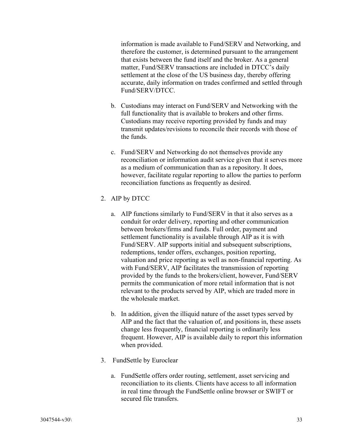information is made available to Fund/SERV and Networking, and therefore the customer, is determined pursuant to the arrangement that exists between the fund itself and the broker. As a general matter, Fund/SERV transactions are included in DTCC's daily settlement at the close of the US business day, thereby offering accurate, daily information on trades confirmed and settled through Fund/SERV/DTCC.

- b. Custodians may interact on Fund/SERV and Networking with the full functionality that is available to brokers and other firms. Custodians may receive reporting provided by funds and may transmit updates/revisions to reconcile their records with those of the funds.
- c. Fund/SERV and Networking do not themselves provide any reconciliation or information audit service given that it serves more as a medium of communication than as a repository. It does, however, facilitate regular reporting to allow the parties to perform reconciliation functions as frequently as desired.
- 2. AIP by DTCC
	- a. AIP functions similarly to Fund/SERV in that it also serves as a conduit for order delivery, reporting and other communication between brokers/firms and funds. Full order, payment and settlement functionality is available through AIP as it is with Fund/SERV. AIP supports initial and subsequent subscriptions, redemptions, tender offers, exchanges, position reporting, valuation and price reporting as well as non-financial reporting. As with Fund/SERV, AIP facilitates the transmission of reporting provided by the funds to the brokers/client, however, Fund/SERV permits the communication of more retail information that is not relevant to the products served by AIP, which are traded more in the wholesale market.
	- b. In addition, given the illiquid nature of the asset types served by AIP and the fact that the valuation of, and positions in, these assets change less frequently, financial reporting is ordinarily less frequent. However, AIP is available daily to report this information when provided.
- 3. FundSettle by Euroclear
	- a. FundSettle offers order routing, settlement, asset servicing and reconciliation to its clients. Clients have access to all information in real time through the FundSettle online browser or SWIFT or secured file transfers.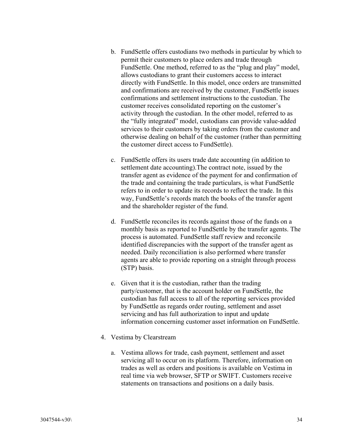- b. FundSettle offers custodians two methods in particular by which to permit their customers to place orders and trade through FundSettle. One method, referred to as the "plug and play" model, allows custodians to grant their customers access to interact directly with FundSettle. In this model, once orders are transmitted and confirmations are received by the customer, FundSettle issues confirmations and settlement instructions to the custodian. The customer receives consolidated reporting on the customer's activity through the custodian. In the other model, referred to as the "fully integrated" model, custodians can provide value-added services to their customers by taking orders from the customer and otherwise dealing on behalf of the customer (rather than permitting the customer direct access to FundSettle).
- c. FundSettle offers its users trade date accounting (in addition to settlement date accounting).The contract note, issued by the transfer agent as evidence of the payment for and confirmation of the trade and containing the trade particulars, is what FundSettle refers to in order to update its records to reflect the trade. In this way, FundSettle's records match the books of the transfer agent and the shareholder register of the fund.
- d. FundSettle reconciles its records against those of the funds on a monthly basis as reported to FundSettle by the transfer agents. The process is automated. FundSettle staff review and reconcile identified discrepancies with the support of the transfer agent as needed. Daily reconciliation is also performed where transfer agents are able to provide reporting on a straight through process (STP) basis.
- e. Given that it is the custodian, rather than the trading party/customer, that is the account holder on FundSettle, the custodian has full access to all of the reporting services provided by FundSettle as regards order routing, settlement and asset servicing and has full authorization to input and update information concerning customer asset information on FundSettle.
- 4. Vestima by Clearstream
	- a. Vestima allows for trade, cash payment, settlement and asset servicing all to occur on its platform. Therefore, information on trades as well as orders and positions is available on Vestima in real time via web browser, SFTP or SWIFT. Customers receive statements on transactions and positions on a daily basis.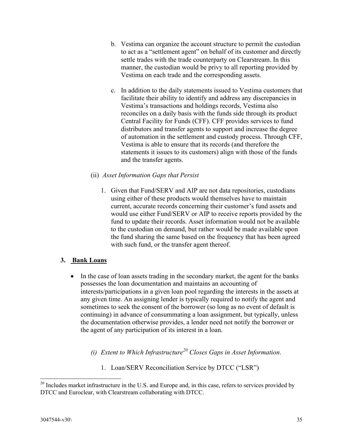- b. Vestima can organize the account structure to permit the custodian to act as a "settlement agent" on behalf of its customer and directly settle trades with the trade counterparty on Clearstream. In this manner, the custodian would be privy to all reporting provided by Vestima on each trade and the corresponding assets.
- c. In addition to the daily statements issued to Vestima customers that facilitate their ability to identify and address any discrepancies in Vestima's transactions and holdings records, Vestima also reconciles on a daily basis with the funds side through its product Central Facility for Funds (CFF). CFF provides services to fund distributors and transfer agents to support and increase the degree of automation in the settlement and custody process. Through CFF, Vestima is able to ensure that its records (and therefore the statements it issues to its customers) align with those of the funds and the transfer agents.
- (ii) *Asset Information Gaps that Persist*
	- 1. Given that Fund/SERV and AIP are not data repositories, custodians using either of these products would themselves have to maintain current, accurate records concerning their customer's fund assets and would use either Fund/SERV or AIP to receive reports provided by the fund to update their records. Asset information would not be available to the custodian on demand, but rather would be made available upon the fund sharing the same based on the frequency that has been agreed with such fund, or the transfer agent thereof.

### **3. Bank Loans**

- In the case of loan assets trading in the secondary market, the agent for the banks possesses the loan documentation and maintains an accounting of interests/participations in a given loan pool regarding the interests in the assets at any given time. An assigning lender is typically required to notify the agent and sometimes to seek the consent of the borrower (so long as no event of default is continuing) in advance of consummating a loan assignment, but typically, unless the documentation otherwise provides, a lender need not notify the borrower or the agent of any participation of its interest in a loan.
	- *(i) Extent to Which Infrastructure<sup>20</sup> Closes Gaps in Asset Information*.
		- 1. Loan/SERV Reconciliation Service by DTCC ("LSR")

 $20$  Includes market infrastructure in the U.S. and Europe and, in this case, refers to services provided by DTCC and Euroclear, with Clearstream collaborating with DTCC.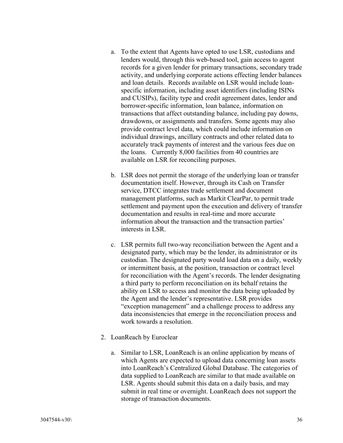- a. To the extent that Agents have opted to use LSR, custodians and lenders would, through this web-based tool, gain access to agent records for a given lender for primary transactions, secondary trade activity, and underlying corporate actions effecting lender balances and loan details. Records available on LSR would include loanspecific information, including asset identifiers (including ISINs and CUSIPs), facility type and credit agreement dates, lender and borrower-specific information, loan balance, information on transactions that affect outstanding balance, including pay downs, drawdowns, or assignments and transfers. Some agents may also provide contract level data, which could include information on individual drawings, ancillary contracts and other related data to accurately track payments of interest and the various fees due on the loans. Currently 8,000 facilities from 40 countries are available on LSR for reconciling purposes.
- b. LSR does not permit the storage of the underlying loan or transfer documentation itself. However, through its Cash on Transfer service, DTCC integrates trade settlement and document management platforms, such as Markit ClearPar, to permit trade settlement and payment upon the execution and delivery of transfer documentation and results in real-time and more accurate information about the transaction and the transaction parties' interests in LSR.
- c. LSR permits full two-way reconciliation between the Agent and a designated party, which may be the lender, its administrator or its custodian. The designated party would load data on a daily, weekly or intermittent basis, at the position, transaction or contract level for reconciliation with the Agent's records. The lender designating a third party to perform reconciliation on its behalf retains the ability on LSR to access and monitor the data being uploaded by the Agent and the lender's representative. LSR provides "exception management" and a challenge process to address any data inconsistencies that emerge in the reconciliation process and work towards a resolution.
- 2. LoanReach by Euroclear
	- a. Similar to LSR, LoanReach is an online application by means of which Agents are expected to upload data concerning loan assets into LoanReach's Centralized Global Database. The categories of data supplied to LoanReach are similar to that made available on LSR. Agents should submit this data on a daily basis, and may submit in real time or overnight. LoanReach does not support the storage of transaction documents.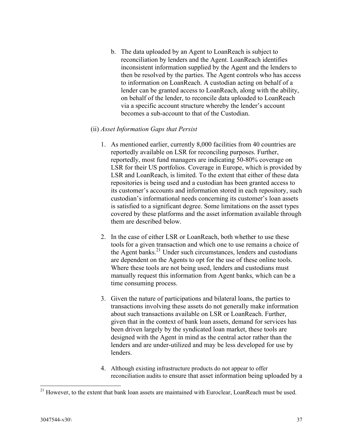b. The data uploaded by an Agent to LoanReach is subject to reconciliation by lenders and the Agent. LoanReach identifies inconsistent information supplied by the Agent and the lenders to then be resolved by the parties. The Agent controls who has access to information on LoanReach. A custodian acting on behalf of a lender can be granted access to LoanReach, along with the ability, on behalf of the lender, to reconcile data uploaded to LoanReach via a specific account structure whereby the lender's account becomes a sub-account to that of the Custodian.

#### (ii) *Asset Information Gaps that Persist*

- 1. As mentioned earlier, currently 8,000 facilities from 40 countries are reportedly available on LSR for reconciling purposes. Further, reportedly, most fund managers are indicating 50-80% coverage on LSR for their US portfolios. Coverage in Europe, which is provided by LSR and LoanReach, is limited. To the extent that either of these data repositories is being used and a custodian has been granted access to its customer's accounts and information stored in each repository, such custodian's informational needs concerning its customer's loan assets is satisfied to a significant degree. Some limitations on the asset types covered by these platforms and the asset information available through them are described below.
- 2. In the case of either LSR or LoanReach, both whether to use these tools for a given transaction and which one to use remains a choice of the Agent banks.<sup>21</sup> Under such circumstances, lenders and custodians are dependent on the Agents to opt for the use of these online tools. Where these tools are not being used, lenders and custodians must manually request this information from Agent banks, which can be a time consuming process.
- 3. Given the nature of participations and bilateral loans, the parties to transactions involving these assets do not generally make information about such transactions available on LSR or LoanReach. Further, given that in the context of bank loan assets, demand for services has been driven largely by the syndicated loan market, these tools are designed with the Agent in mind as the central actor rather than the lenders and are under-utilized and may be less developed for use by lenders.
- 4. Although existing infrastructure products do not appear to offer reconciliation audits to ensure that asset information being uploaded by a

<sup>&</sup>lt;sup>21</sup> However, to the extent that bank loan assets are maintained with Euroclear, LoanReach must be used.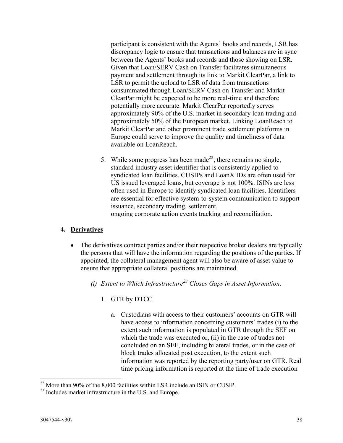participant is consistent with the Agents' books and records, LSR has discrepancy logic to ensure that transactions and balances are in sync between the Agents' books and records and those showing on LSR. Given that Loan/SERV Cash on Transfer facilitates simultaneous payment and settlement through its link to Markit ClearPar, a link to LSR to permit the upload to LSR of data from transactions consummated through Loan/SERV Cash on Transfer and Markit ClearPar might be expected to be more real-time and therefore potentially more accurate. Markit ClearPar reportedly serves approximately 90% of the U.S. market in secondary loan trading and approximately 50% of the European market. Linking LoanReach to Markit ClearPar and other prominent trade settlement platforms in Europe could serve to improve the quality and timeliness of data available on LoanReach.

5. While some progress has been made<sup>22</sup>, there remains no single, standard industry asset identifier that is consistently applied to syndicated loan facilities. CUSIPs and LoanX IDs are often used for US issued leveraged loans, but coverage is not 100%. ISINs are less often used in Europe to identify syndicated loan facilities. Identifiers are essential for effective system-to-system communication to support issuance, secondary trading, settlement, ongoing corporate action events tracking and reconciliation.

### **4. Derivatives**

- The derivatives contract parties and/or their respective broker dealers are typically the persons that will have the information regarding the positions of the parties. If appointed, the collateral management agent will also be aware of asset value to ensure that appropriate collateral positions are maintained.
	- *(i) Extent to Which Infrastructure<sup>23</sup> Closes Gaps in Asset Information*.
		- 1. GTR by DTCC
			- a. Custodians with access to their customers' accounts on GTR will have access to information concerning customers' trades (i) to the extent such information is populated in GTR through the SEF on which the trade was executed or, (ii) in the case of trades not concluded on an SEF, including bilateral trades, or in the case of block trades allocated post execution, to the extent such information was reported by the reporting party/user on GTR. Real time pricing information is reported at the time of trade execution

l  $^{22}$  More than 90% of the 8,000 facilities within LSR include an ISIN or CUSIP.

<sup>&</sup>lt;sup>23</sup> Includes market infrastructure in the U.S. and Europe.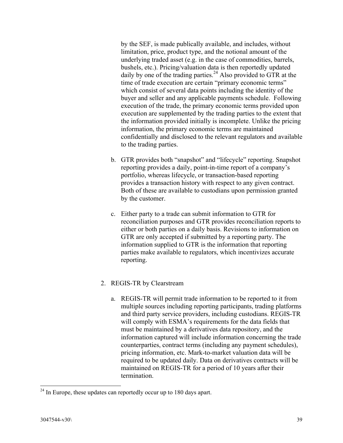by the SEF, is made publically available, and includes, without limitation, price, product type, and the notional amount of the underlying traded asset (e.g. in the case of commodities, barrels, bushels, etc.). Pricing/valuation data is then reportedly updated daily by one of the trading parties.<sup>24</sup> Also provided to GTR at the time of trade execution are certain "primary economic terms" which consist of several data points including the identity of the buyer and seller and any applicable payments schedule. Following execution of the trade, the primary economic terms provided upon execution are supplemented by the trading parties to the extent that the information provided initially is incomplete. Unlike the pricing information, the primary economic terms are maintained confidentially and disclosed to the relevant regulators and available to the trading parties.

- b. GTR provides both "snapshot" and "lifecycle" reporting. Snapshot reporting provides a daily, point-in-time report of a company's portfolio, whereas lifecycle, or transaction-based reporting provides a transaction history with respect to any given contract. Both of these are available to custodians upon permission granted by the customer.
- c. Either party to a trade can submit information to GTR for reconciliation purposes and GTR provides reconciliation reports to either or both parties on a daily basis. Revisions to information on GTR are only accepted if submitted by a reporting party. The information supplied to GTR is the information that reporting parties make available to regulators, which incentivizes accurate reporting.

### 2. REGIS-TR by Clearstream

a. REGIS-TR will permit trade information to be reported to it from multiple sources including reporting participants, trading platforms and third party service providers, including custodians. REGIS-TR will comply with ESMA's requirements for the data fields that must be maintained by a derivatives data repository, and the information captured will include information concerning the trade counterparties, contract terms (including any payment schedules), pricing information, etc. Mark-to-market valuation data will be required to be updated daily. Data on derivatives contracts will be maintained on REGIS-TR for a period of 10 years after their termination.

l  $^{24}$  In Europe, these updates can reportedly occur up to 180 days apart.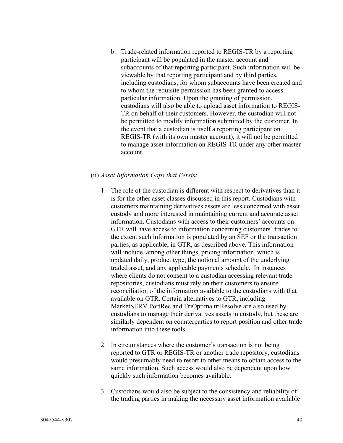b. Trade-related information reported to REGIS-TR by a reporting participant will be populated in the master account and subaccounts of that reporting participant. Such information will be viewable by that reporting participant and by third parties, including custodians, for whom subaccounts have been created and to whom the requisite permission has been granted to access particular information. Upon the granting of permission, custodians will also be able to upload asset information to REGIS-TR on behalf of their customers. However, the custodian will not be permitted to modify information submitted by the customer. In the event that a custodian is itself a reporting participant on REGIS-TR (with its own master account), it will not be permitted to manage asset information on REGIS-TR under any other master account.

#### (ii) *Asset Information Gaps that Persist*

- 1. The role of the custodian is different with respect to derivatives than it is for the other asset classes discussed in this report. Custodians with customers maintaining derivatives assets are less concerned with asset custody and more interested in maintaining current and accurate asset information. Custodians with access to their customers' accounts on GTR will have access to information concerning customers' trades to the extent such information is populated by an SEF or the transaction parties, as applicable, in GTR, as described above. This information will include, among other things, pricing information, which is updated daily, product type, the notional amount of the underlying traded asset, and any applicable payments schedule. In instances where clients do not consent to a custodian accessing relevant trade repositories, custodians must rely on their customers to ensure reconciliation of the information available to the custodians with that available on GTR. Certain alternatives to GTR, including MarketSERV PortRec and TriOptima triResolve are also used by custodians to manage their derivatives assets in custody, but these are similarly dependent on counterparties to report position and other trade information into these tools.
- 2. In circumstances where the customer's transaction is not being reported to GTR or REGIS-TR or another trade repository, custodians would presumably need to resort to other means to obtain access to the same information. Such access would also be dependent upon how quickly such information becomes available.
- 3. Custodians would also be subject to the consistency and reliability of the trading parties in making the necessary asset information available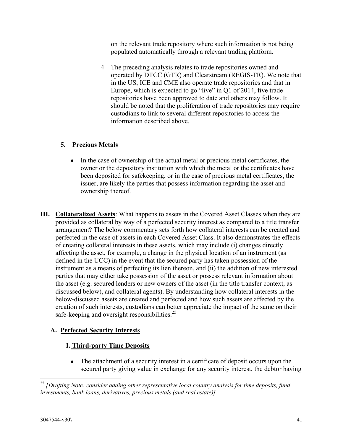on the relevant trade repository where such information is not being populated automatically through a relevant trading platform.

4. The preceding analysis relates to trade repositories owned and operated by DTCC (GTR) and Clearstream (REGIS-TR). We note that in the US, ICE and CME also operate trade repositories and that in Europe, which is expected to go "live" in Q1 of 2014, five trade repositories have been approved to date and others may follow. It should be noted that the proliferation of trade repositories may require custodians to link to several different repositories to access the information described above.

### **5. Precious Metals**

- In the case of ownership of the actual metal or precious metal certificates, the owner or the depository institution with which the metal or the certificates have been deposited for safekeeping, or in the case of precious metal certificates, the issuer, are likely the parties that possess information regarding the asset and ownership thereof.
- **III. Collateralized Assets**: What happens to assets in the Covered Asset Classes when they are provided as collateral by way of a perfected security interest as compared to a title transfer arrangement? The below commentary sets forth how collateral interests can be created and perfected in the case of assets in each Covered Asset Class. It also demonstrates the effects of creating collateral interests in these assets, which may include (i) changes directly affecting the asset, for example, a change in the physical location of an instrument (as defined in the UCC) in the event that the secured party has taken possession of the instrument as a means of perfecting its lien thereon, and (ii) the addition of new interested parties that may either take possession of the asset or possess relevant information about the asset (e.g. secured lenders or new owners of the asset (in the title transfer context, as discussed below), and collateral agents). By understanding how collateral interests in the below-discussed assets are created and perfected and how such assets are affected by the creation of such interests, custodians can better appreciate the impact of the same on their safe-keeping and oversight responsibilities.<sup>25</sup>

## **A. Perfected Security Interests**

## **1. Third-party Time Deposits**

 The attachment of a security interest in a certificate of deposit occurs upon the secured party giving value in exchange for any security interest, the debtor having

<sup>25</sup> *[Drafting Note: consider adding other representative local country analysis for time deposits, fund investments, bank loans, derivatives, precious metals (and real estate)]*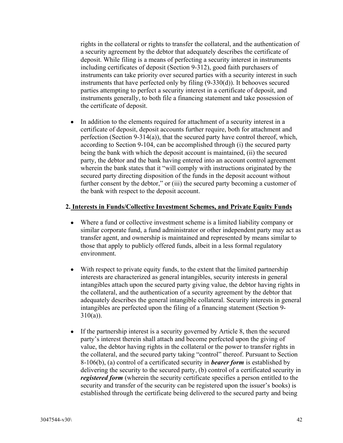rights in the collateral or rights to transfer the collateral, and the authentication of a security agreement by the debtor that adequately describes the certificate of deposit. While filing is a means of perfecting a security interest in instruments including certificates of deposit (Section 9-312), good faith purchasers of instruments can take priority over secured parties with a security interest in such instruments that have perfected only by filing (9-330(d)). It behooves secured parties attempting to perfect a security interest in a certificate of deposit, and instruments generally, to both file a financing statement and take possession of the certificate of deposit.

• In addition to the elements required for attachment of a security interest in a certificate of deposit, deposit accounts further require, both for attachment and perfection (Section 9-314(a)), that the secured party have control thereof, which, according to Section 9-104, can be accomplished through (i) the secured party being the bank with which the deposit account is maintained, (ii) the secured party, the debtor and the bank having entered into an account control agreement wherein the bank states that it "will comply with instructions originated by the secured party directing disposition of the funds in the deposit account without further consent by the debtor," or (iii) the secured party becoming a customer of the bank with respect to the deposit account.

#### **2. Interests in Funds/Collective Investment Schemes, and Private Equity Funds**

- Where a fund or collective investment scheme is a limited liability company or similar corporate fund, a fund administrator or other independent party may act as transfer agent, and ownership is maintained and represented by means similar to those that apply to publicly offered funds, albeit in a less formal regulatory environment.
- With respect to private equity funds, to the extent that the limited partnership interests are characterized as general intangibles, security interests in general intangibles attach upon the secured party giving value, the debtor having rights in the collateral, and the authentication of a security agreement by the debtor that adequately describes the general intangible collateral. Security interests in general intangibles are perfected upon the filing of a financing statement (Section 9-  $310(a)$ ).
- If the partnership interest is a security governed by Article 8, then the secured party's interest therein shall attach and become perfected upon the giving of value, the debtor having rights in the collateral or the power to transfer rights in the collateral, and the secured party taking "control" thereof. Pursuant to Section 8-106(b), (a) control of a certificated security in *bearer form* is established by delivering the security to the secured party, (b) control of a certificated security in *registered form* (wherein the security certificate specifies a person entitled to the security and transfer of the security can be registered upon the issuer's books) is established through the certificate being delivered to the secured party and being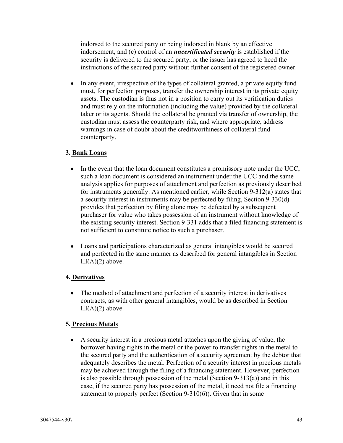indorsed to the secured party or being indorsed in blank by an effective indorsement, and (c) control of an *uncertificated security* is established if the security is delivered to the secured party, or the issuer has agreed to heed the instructions of the secured party without further consent of the registered owner.

• In any event, irrespective of the types of collateral granted, a private equity fund must, for perfection purposes, transfer the ownership interest in its private equity assets. The custodian is thus not in a position to carry out its verification duties and must rely on the information (including the value) provided by the collateral taker or its agents. Should the collateral be granted via transfer of ownership, the custodian must assess the counterparty risk, and where appropriate, address warnings in case of doubt about the creditworthiness of collateral fund counterparty.

### **3. Bank Loans**

- In the event that the loan document constitutes a promissory note under the UCC, such a loan document is considered an instrument under the UCC and the same analysis applies for purposes of attachment and perfection as previously described for instruments generally. As mentioned earlier, while Section 9-312(a) states that a security interest in instruments may be perfected by filing, Section 9-330(d) provides that perfection by filing alone may be defeated by a subsequent purchaser for value who takes possession of an instrument without knowledge of the existing security interest. Section 9-331 adds that a filed financing statement is not sufficient to constitute notice to such a purchaser.
- Loans and participations characterized as general intangibles would be secured and perfected in the same manner as described for general intangibles in Section  $III(A)(2)$  above.

### **4. Derivatives**

 The method of attachment and perfection of a security interest in derivatives contracts, as with other general intangibles, would be as described in Section  $III(A)(2)$  above.

### **5. Precious Metals**

 A security interest in a precious metal attaches upon the giving of value, the borrower having rights in the metal or the power to transfer rights in the metal to the secured party and the authentication of a security agreement by the debtor that adequately describes the metal. Perfection of a security interest in precious metals may be achieved through the filing of a financing statement. However, perfection is also possible through possession of the metal (Section 9-313(a)) and in this case, if the secured party has possession of the metal, it need not file a financing statement to properly perfect (Section 9-310(6)). Given that in some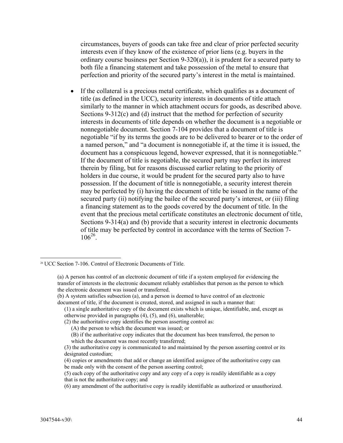circumstances, buyers of goods can take free and clear of prior perfected security interests even if they know of the existence of prior liens (e.g. buyers in the ordinary course business per Section 9-320(a)), it is prudent for a secured party to both file a financing statement and take possession of the metal to ensure that perfection and priority of the secured party's interest in the metal is maintained.

 If the collateral is a precious metal certificate, which qualifies as a document of title (as defined in the UCC), security interests in documents of title attach similarly to the manner in which attachment occurs for goods, as described above. Sections 9-312(c) and (d) instruct that the method for perfection of security interests in documents of title depends on whether the document is a negotiable or nonnegotiable document. Section 7-104 provides that a document of title is negotiable "if by its terms the goods are to be delivered to bearer or to the order of a named person," and "a document is nonnegotiable if, at the time it is issued, the document has a conspicuous legend, however expressed, that it is nonnegotiable." If the document of title is negotiable, the secured party may perfect its interest therein by filing, but for reasons discussed earlier relating to the priority of holders in due course, it would be prudent for the secured party also to have possession. If the document of title is nonnegotiable, a security interest therein may be perfected by (i) having the document of title be issued in the name of the secured party (ii) notifying the bailee of the secured party's interest, or (iii) filing a financing statement as to the goods covered by the document of title. In the event that the precious metal certificate constitutes an electronic document of title, Sections 9-314(a) and (b) provide that a security interest in electronic documents of title may be perfected by control in accordance with the terms of Section 7- 106<sup>26</sup> .

<sup>&</sup>lt;sup>26</sup> UCC Section 7-106. Control of Electronic Documents of Title.

<sup>(</sup>a) A person has control of an electronic document of title if a system employed for evidencing the transfer of interests in the electronic document reliably establishes that person as the person to which the electronic document was issued or transferred.

<sup>(</sup>b) A system satisfies subsection (a), and a person is deemed to have control of an electronic document of title, if the document is created, stored, and assigned in such a manner that:

<sup>(1)</sup> a single authoritative copy of the document exists which is unique, identifiable, and, except as otherwise provided in paragraphs (4), (5), and (6), unalterable;

<sup>(2)</sup> the authoritative copy identifies the person asserting control as:

<sup>(</sup>A) the person to which the document was issued; or

<sup>(</sup>B) if the authoritative copy indicates that the document has been transferred, the person to which the document was most recently transferred;

<sup>(3)</sup> the authoritative copy is communicated to and maintained by the person asserting control or its designated custodian;

<sup>(4)</sup> copies or amendments that add or change an identified assignee of the authoritative copy can be made only with the consent of the person asserting control;

<sup>(5)</sup> each copy of the authoritative copy and any copy of a copy is readily identifiable as a copy that is not the authoritative copy; and

<sup>(6)</sup> any amendment of the authoritative copy is readily identifiable as authorized or unauthorized.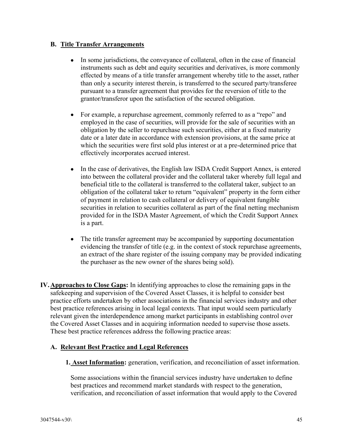#### **B. Title Transfer Arrangements**

- In some jurisdictions, the conveyance of collateral, often in the case of financial instruments such as debt and equity securities and derivatives, is more commonly effected by means of a title transfer arrangement whereby title to the asset, rather than only a security interest therein, is transferred to the secured party/transferee pursuant to a transfer agreement that provides for the reversion of title to the grantor/transferor upon the satisfaction of the secured obligation.
- For example, a repurchase agreement, commonly referred to as a "repo" and employed in the case of securities, will provide for the sale of securities with an obligation by the seller to repurchase such securities, either at a fixed maturity date or a later date in accordance with extension provisions, at the same price at which the securities were first sold plus interest or at a pre-determined price that effectively incorporates accrued interest.
- In the case of derivatives, the English law ISDA Credit Support Annex, is entered into between the collateral provider and the collateral taker whereby full legal and beneficial title to the collateral is transferred to the collateral taker, subject to an obligation of the collateral taker to return "equivalent" property in the form either of payment in relation to cash collateral or delivery of equivalent fungible securities in relation to securities collateral as part of the final netting mechanism provided for in the ISDA Master Agreement, of which the Credit Support Annex is a part.
- The title transfer agreement may be accompanied by supporting documentation evidencing the transfer of title (e.g. in the context of stock repurchase agreements, an extract of the share register of the issuing company may be provided indicating the purchaser as the new owner of the shares being sold).
- **IV.Approaches to Close Gaps:** In identifying approaches to close the remaining gaps in the safekeeping and supervision of the Covered Asset Classes, it is helpful to consider best practice efforts undertaken by other associations in the financial services industry and other best practice references arising in local legal contexts. That input would seem particularly relevant given the interdependence among market participants in establishing control over the Covered Asset Classes and in acquiring information needed to supervise those assets. These best practice references address the following practice areas:

#### **A. Relevant Best Practice and Legal References**

**1. Asset Information:** generation, verification, and reconciliation of asset information.

Some associations within the financial services industry have undertaken to define best practices and recommend market standards with respect to the generation, verification, and reconciliation of asset information that would apply to the Covered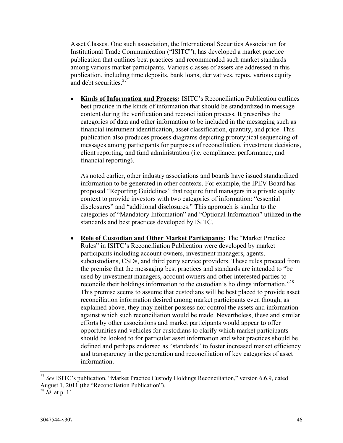Asset Classes. One such association, the International Securities Association for Institutional Trade Communication ("ISITC"), has developed a market practice publication that outlines best practices and recommended such market standards among various market participants. Various classes of assets are addressed in this publication, including time deposits, bank loans, derivatives, repos, various equity and debt securities. $27$ 

 **Kinds of Information and Process:** ISITC's Reconciliation Publication outlines best practice in the kinds of information that should be standardized in message content during the verification and reconciliation process. It prescribes the categories of data and other information to be included in the messaging such as financial instrument identification, asset classification, quantity, and price. This publication also produces process diagrams depicting prototypical sequencing of messages among participants for purposes of reconciliation, investment decisions, client reporting, and fund administration (i.e. compliance, performance, and financial reporting).

As noted earlier, other industry associations and boards have issued standardized information to be generated in other contexts. For example, the IPEV Board has proposed "Reporting Guidelines" that require fund managers in a private equity context to provide investors with two categories of information: "essential disclosures" and "additional disclosures." This approach is similar to the categories of "Mandatory Information" and "Optional Information" utilized in the standards and best practices developed by ISITC.

 **Role of Custodian and Other Market Participants:** The "Market Practice Rules" in ISITC's Reconciliation Publication were developed by market participants including account owners, investment managers, agents, subcustodians, CSDs, and third party service providers. These rules proceed from the premise that the messaging best practices and standards are intended to "be used by investment managers, account owners and other interested parties to reconcile their holdings information to the custodian's holdings information."<sup>28</sup> This premise seems to assume that custodians will be best placed to provide asset reconciliation information desired among market participants even though, as explained above, they may neither possess nor control the assets and information against which such reconciliation would be made. Nevertheless, these and similar efforts by other associations and market participants would appear to offer opportunities and vehicles for custodians to clarify which market participants should be looked to for particular asset information and what practices should be defined and perhaps endorsed as "standards" to foster increased market efficiency and transparency in the generation and reconciliation of key categories of asset information.

<sup>27</sup> *See* ISITC's publication, "Market Practice Custody Holdings Reconciliation," version 6.6.9, dated August 1, 2011 (the "Reconciliation Publication").

 $\frac{28}{10}$ . at p. 11.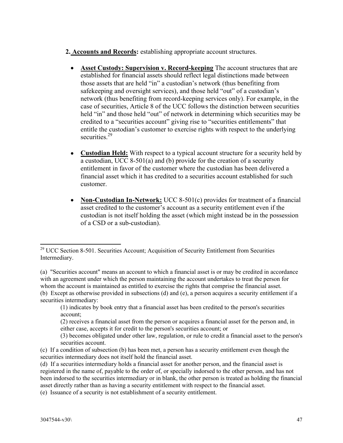- **2. Accounts and Records:** establishing appropriate account structures.
	- **Asset Custody: Supervision v. Record-keeping** The account structures that are established for financial assets should reflect legal distinctions made between those assets that are held "in" a custodian's network (thus benefiting from safekeeping and oversight services), and those held "out" of a custodian's network (thus benefiting from record-keeping services only). For example, in the case of securities, Article 8 of the UCC follows the distinction between securities held "in" and those held "out" of network in determining which securities may be credited to a "securities account" giving rise to "securities entitlements" that entitle the custodian's customer to exercise rights with respect to the underlying securities<sup>29</sup>
	- **Custodian Held:** With respect to a typical account structure for a security held by a custodian, UCC 8-501(a) and (b) provide for the creation of a security entitlement in favor of the customer where the custodian has been delivered a financial asset which it has credited to a securities account established for such customer.
	- **Non-Custodian In-Network:** UCC 8-501(c) provides for treatment of a financial asset credited to the customer's account as a security entitlement even if the custodian is not itself holding the asset (which might instead be in the possession of a CSD or a sub-custodian).

 $29$  UCC Section 8-501. Securities Account; Acquisition of Security Entitlement from Securities Intermediary.

<sup>(</sup>a) "Securities account" means an account to which a financial asset is or may be credited in accordance with an agreement under which the person maintaining the account undertakes to treat the person for whom the account is maintained as entitled to exercise the rights that comprise the financial asset. (b) Except as otherwise provided in subsections (d) and (e), a person acquires a security entitlement if a securities intermediary:

<sup>(1)</sup> indicates by book entry that a financial asset has been credited to the person's securities account;

<sup>(2)</sup> receives a financial asset from the person or acquires a financial asset for the person and, in either case, accepts it for credit to the person's securities account; or

<sup>(3)</sup> becomes obligated under other law, regulation, or rule to credit a financial asset to the person's securities account.

<sup>(</sup>c) If a condition of subsection (b) has been met, a person has a security entitlement even though the securities intermediary does not itself hold the financial asset.

<sup>(</sup>d) If a securities intermediary holds a financial asset for another person, and the financial asset is registered in the name of, payable to the order of, or specially indorsed to the other person, and has not been indorsed to the securities intermediary or in blank, the other person is treated as holding the financial asset directly rather than as having a security entitlement with respect to the financial asset.

<sup>(</sup>e) Issuance of a security is not establishment of a security entitlement.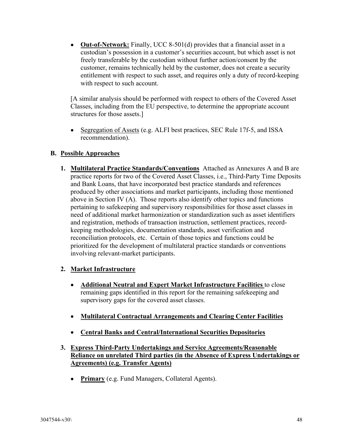**Out-of-Network:** Finally, UCC 8-501(d) provides that a financial asset in a custodian's possession in a customer's securities account, but which asset is not freely transferable by the custodian without further action/consent by the customer, remains technically held by the customer, does not create a security entitlement with respect to such asset, and requires only a duty of record-keeping with respect to such account.

[A similar analysis should be performed with respect to others of the Covered Asset Classes, including from the EU perspective, to determine the appropriate account structures for those assets.]

• Segregation of Assets (e.g. ALFI best practices, SEC Rule 17f-5, and ISSA recommendation).

### **B. Possible Approaches**

**1. Multilateral Practice Standards/Conventions** Attached as Annexures A and B are practice reports for two of the Covered Asset Classes, i.e., Third-Party Time Deposits and Bank Loans, that have incorporated best practice standards and references produced by other associations and market participants, including those mentioned above in Section IV (A). Those reports also identify other topics and functions pertaining to safekeeping and supervisory responsibilities for those asset classes in need of additional market harmonization or standardization such as asset identifiers and registration, methods of transaction instruction, settlement practices, recordkeeping methodologies, documentation standards, asset verification and reconciliation protocols, etc. Certain of those topics and functions could be prioritized for the development of multilateral practice standards or conventions involving relevant-market participants.

### **2. Market Infrastructure**

- **Additional Neutral and Expert Market Infrastructure Facilities** to close remaining gaps identified in this report for the remaining safekeeping and supervisory gaps for the covered asset classes.
- **Multilateral Contractual Arrangements and Clearing Center Facilities**
- **Central Banks and Central/International Securities Depositories**
- **3. Express Third-Party Undertakings and Service Agreements/Reasonable Reliance on unrelated Third parties (in the Absence of Express Undertakings or Agreements) (e.g. Transfer Agents)**
	- **Primary** (e.g. Fund Managers, Collateral Agents).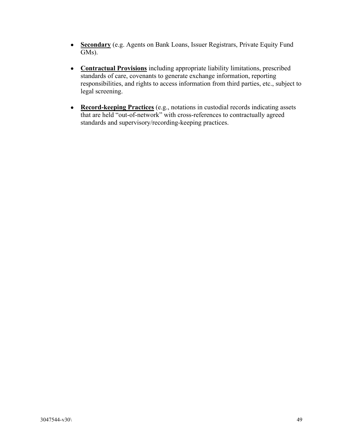- **Secondary** (e.g. Agents on Bank Loans, Issuer Registrars, Private Equity Fund GMs).
- **Contractual Provisions** including appropriate liability limitations, prescribed standards of care, covenants to generate exchange information, reporting responsibilities, and rights to access information from third parties, etc., subject to legal screening.
- **Record-keeping Practices** (e.g., notations in custodial records indicating assets that are held "out-of-network" with cross-references to contractually agreed standards and supervisory/recording-keeping practices.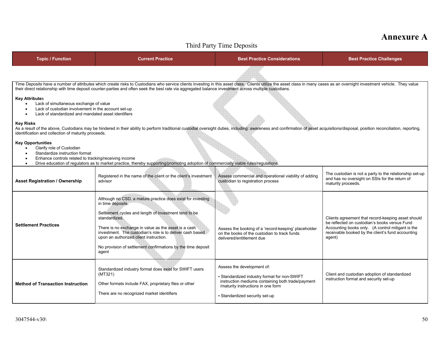## **Annexure A**

| Third Party Time Deposits                                                                                                                                     |                                                                                                                                                                                                                                                                                                                                                                                                    |                                                                                                                                                                                                         |                                                                                                                                                                                                                         |  |  |
|---------------------------------------------------------------------------------------------------------------------------------------------------------------|----------------------------------------------------------------------------------------------------------------------------------------------------------------------------------------------------------------------------------------------------------------------------------------------------------------------------------------------------------------------------------------------------|---------------------------------------------------------------------------------------------------------------------------------------------------------------------------------------------------------|-------------------------------------------------------------------------------------------------------------------------------------------------------------------------------------------------------------------------|--|--|
| <b>Topic / Function</b>                                                                                                                                       | <b>Current Practice</b>                                                                                                                                                                                                                                                                                                                                                                            | <b>Best Practice Considerations</b>                                                                                                                                                                     | <b>Best Practice Challenges</b>                                                                                                                                                                                         |  |  |
|                                                                                                                                                               |                                                                                                                                                                                                                                                                                                                                                                                                    |                                                                                                                                                                                                         |                                                                                                                                                                                                                         |  |  |
|                                                                                                                                                               | Time Deposits have a number of attributes which create risks to Custodians who service clients investing in this asset class. Clients utilize the asset class in many cases as an overnight investment vehicle. They value<br>their direct relationship with time deposit counter-parties and often seek the best rate via aggregated balance investment across multiple custodians.               |                                                                                                                                                                                                         |                                                                                                                                                                                                                         |  |  |
| <b>Key Attributes</b><br>$\bullet$                                                                                                                            | Lack of simultaneous exchange of value<br>Lack of custodian involvement in the account set-up<br>Lack of standardized and mandated asset identifiers                                                                                                                                                                                                                                               |                                                                                                                                                                                                         |                                                                                                                                                                                                                         |  |  |
| <b>Key Risks</b><br>identification and collection of maturity proceeds.                                                                                       | As a result of the above, Custodians may be hindered in their ability to perform traditional custodial oversight duties, including: awareness and confirmation of asset acquisitions/disposal, position reconciliation, report                                                                                                                                                                     |                                                                                                                                                                                                         |                                                                                                                                                                                                                         |  |  |
| <b>Key Opportunities</b><br>Clarify role of Custodian<br>Standardize instruction format<br>Enhance controls related to tracking/receiving income<br>$\bullet$ | Drive education of regulators as to market practice, thereby supporting/promoting adoption of commercially viable rules/regulations.                                                                                                                                                                                                                                                               |                                                                                                                                                                                                         |                                                                                                                                                                                                                         |  |  |
| <b>Asset Registration / Ownership</b>                                                                                                                         | Registered in the name of the client or the client's investment<br>advisor                                                                                                                                                                                                                                                                                                                         | Assess commercial and operational viability of adding<br>custodian to registration process                                                                                                              | The custodian is not a party to the relationship set-up<br>and has no oversight on SSIs for the return of<br>maturity proceeds.                                                                                         |  |  |
| <b>Settlement Practices</b>                                                                                                                                   | Although no CSD, a mature practice does exist for investing<br>in time deposits.<br>Settlement cycles and length of investment tend to be<br>standardized.<br>There is no exchange in value as the asset is a cash<br>investment. The custodian's role is to deliver cash based<br>upon an authorized client instruction.<br>No provision of settlement confirmations by the time deposit<br>agent | Assess the booking of a 'record-keeping' placeholder<br>on the books of the custodian to track funds<br>delivered/entitlement due                                                                       | Clients agreement that record-keeping asset should<br>be reflected on custodian's books versus Fund<br>Accounting books only. (A control mitigant is the<br>receivable booked by the client's fund accounting<br>agent) |  |  |
| <b>Method of Transaction Instruction</b>                                                                                                                      | Standardized industry format does exist for SWIFT users<br>(MT321)<br>Other formats include FAX, proprietary files or other<br>There are no recognized market identifiers                                                                                                                                                                                                                          | Assess the development of:<br>- Standardized industry format for non-SWIFT<br>instruction mediums containing both trade/payment<br>/maturity instructions in one form<br>- Standardized security set-up | Client and custodian adoption of standardized<br>instruction format and security set-up                                                                                                                                 |  |  |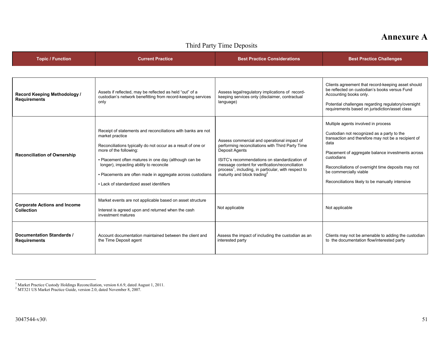## **Annexure A**

| THILL LATLY THILL DUPUSILS                               |                                                                                                                                                                                                                                                                                                                                                                                         |                                                                                                                                                                                                                                                                                                                                             |                                                                                                                                                                                                                                                                                                                                                        |  |
|----------------------------------------------------------|-----------------------------------------------------------------------------------------------------------------------------------------------------------------------------------------------------------------------------------------------------------------------------------------------------------------------------------------------------------------------------------------|---------------------------------------------------------------------------------------------------------------------------------------------------------------------------------------------------------------------------------------------------------------------------------------------------------------------------------------------|--------------------------------------------------------------------------------------------------------------------------------------------------------------------------------------------------------------------------------------------------------------------------------------------------------------------------------------------------------|--|
| <b>Topic / Function</b>                                  | <b>Current Practice</b>                                                                                                                                                                                                                                                                                                                                                                 | <b>Best Practice Considerations</b>                                                                                                                                                                                                                                                                                                         | <b>Best Practice Challenges</b>                                                                                                                                                                                                                                                                                                                        |  |
|                                                          |                                                                                                                                                                                                                                                                                                                                                                                         |                                                                                                                                                                                                                                                                                                                                             |                                                                                                                                                                                                                                                                                                                                                        |  |
| Record Keeping Methodology /<br><b>Requirements</b>      | Assets if reflected, may be reflected as held "out" of a<br>custodian's network benefitting from record-keeping services<br>only                                                                                                                                                                                                                                                        | Assess legal/regulatory implications of record-<br>keeping services only (disclaimer, contractual<br>language)                                                                                                                                                                                                                              | Clients agreement that record-keeping asset should<br>be reflected on custodian's books versus Fund<br>Accounting books only.<br>Potential challenges regarding regulatory/oversight<br>requirements based on jurisdiction/asset class                                                                                                                 |  |
| <b>Reconciliation of Ownership</b>                       | Receipt of statements and reconciliations with banks are not<br>market practice<br>Reconciliations typically do not occur as a result of one or<br>more of the following:<br>- Placement often matures in one day (although can be<br>longer), impacting ability to reconcile<br>- Placements are often made in aggregate across custodians<br>- Lack of standardized asset identifiers | Assess commercial and operational impact of<br>performing reconciliations with Third Party Time<br><b>Deposit Agents</b><br>ISITC's recommendations on standardization of<br>message content for verification/reconciliation<br>process <sup>1</sup> , including, in particular, with respect to<br>maturity and block trading <sup>2</sup> | Multiple agents involved in process<br>Custodian not recognized as a party to the<br>transaction and therefore may not be a recipient of<br>data<br>Placement of aggregate balance investments across<br>custodians<br>Reconciliations of overnight time deposits may not<br>be commercially viable<br>Reconciliations likely to be manually intensive |  |
| <b>Corporate Actions and Income</b><br><b>Collection</b> | Market events are not applicable based on asset structure<br>Interest is agreed upon and returned when the cash<br>investment matures                                                                                                                                                                                                                                                   | Not applicable                                                                                                                                                                                                                                                                                                                              | Not applicable                                                                                                                                                                                                                                                                                                                                         |  |
| <b>Documentation Standards /</b><br><b>Requirements</b>  | Account documentation maintained between the client and<br>the Time Deposit agent                                                                                                                                                                                                                                                                                                       | Assess the impact of including the custodian as an<br>interested party                                                                                                                                                                                                                                                                      | Clients may not be amenable to adding the custodian<br>to the documentation flow/interested party                                                                                                                                                                                                                                                      |  |

#### Third Party Time Deposits

1

<sup>&</sup>lt;sup>1</sup> Market Practice Custody Holdings Reconciliation, version 6.6.9, dated August 1, 2011.

<sup>&</sup>lt;sup>2</sup> MT321 US Market Practice Guide, version 2.0, dated November 8, 2007.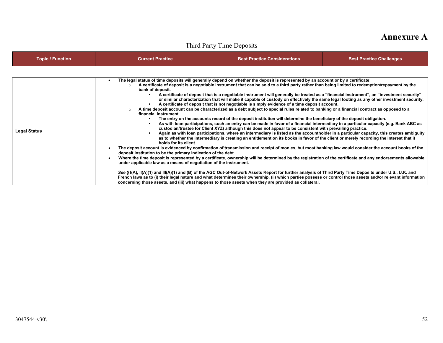## **Annexure A**

## Third Party Time Deposits

| <b>Topic / Function</b> | <b>Current Practice</b>                                                                                                                                                                                  | <b>Best Practice Considerations</b>                                                                                                                                                                                                                                                                                                                                                                                                                                                                                                                                                                                                                                                                                                                                                                                                                                                                                                                                                                                                                                                                                                                                                                                                                                                                                                                                                                                                                                                                                                                                                                                                                                                                                                                                                                                                                                                                                                                                                | <b>Best Practice Challenges</b> |
|-------------------------|----------------------------------------------------------------------------------------------------------------------------------------------------------------------------------------------------------|------------------------------------------------------------------------------------------------------------------------------------------------------------------------------------------------------------------------------------------------------------------------------------------------------------------------------------------------------------------------------------------------------------------------------------------------------------------------------------------------------------------------------------------------------------------------------------------------------------------------------------------------------------------------------------------------------------------------------------------------------------------------------------------------------------------------------------------------------------------------------------------------------------------------------------------------------------------------------------------------------------------------------------------------------------------------------------------------------------------------------------------------------------------------------------------------------------------------------------------------------------------------------------------------------------------------------------------------------------------------------------------------------------------------------------------------------------------------------------------------------------------------------------------------------------------------------------------------------------------------------------------------------------------------------------------------------------------------------------------------------------------------------------------------------------------------------------------------------------------------------------------------------------------------------------------------------------------------------------|---------------------------------|
| <b>Legal Status</b>     | bank of deposit.<br>financial instrument.<br>holds for its client.<br>deposit institution to be the primary indication of the debt.<br>under applicable law as a means of negotiation of the instrument. | The legal status of time deposits will generally depend on whether the deposit is represented by an account or by a certificate:<br>A certificate of deposit is a negotiable instrument that can be sold to a third party rather than being limited to redemption/repayment by the<br>A certificate of deposit that is a negotiable instrument will generally be treated as a "financial instrument", an "investment security"<br>or similar characterization that will make it capable of custody on effectively the same legal footing as any other investment security.<br>A certificate of deposit that is not negotiable is simply evidence of a time deposit account.<br>A time deposit account can be characterized as a debt subject to special rules related to banking or a financial contract as opposed to a<br>The entry on the accounts record of the deposit institution will determine the beneficiary of the deposit obligation.<br>As with loan participations, such an entry can be made in favor of a financial intermediary in a particular capacity (e.g. Bank ABC as<br>custodian/trustee for Client XYZ) although this does not appear to be consistent with prevailing practice.<br>Again as with loan participations, where an intermediary is listed as the accountholder in a particular capacity, this creates ambiguity<br>as to whether the intermediary is creating an entitlement on its books in favor of the client or merely recording the interest that it<br>The deposit account is evidenced by confirmation of transmission and receipt of monies, but most banking law would consider the account books of the<br>Where the time deposit is represented by a certificate, ownership will be determined by the registration of the certificate and any endorsements allowable<br>See § I(A), II(A)(1) and III(A)(1) and (B) of the AGC Out-of-Network Assets Report for further analysis of Third Party Time Deposits under U.S., U.K. and |                                 |
|                         |                                                                                                                                                                                                          | French laws as to (i) their legal nature and what determines their ownership, (ii) which parties possess or control those assets and/or relevant information<br>concerning those assets, and (iii) what happens to those assets when they are provided as collateral.                                                                                                                                                                                                                                                                                                                                                                                                                                                                                                                                                                                                                                                                                                                                                                                                                                                                                                                                                                                                                                                                                                                                                                                                                                                                                                                                                                                                                                                                                                                                                                                                                                                                                                              |                                 |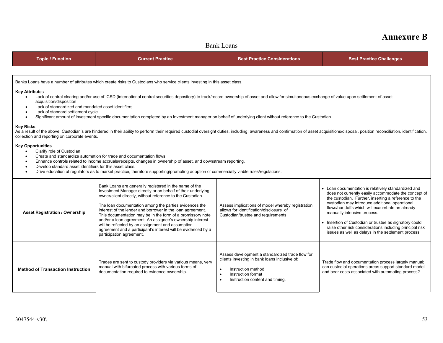| <b>Annexure B</b> |  |
|-------------------|--|
|-------------------|--|

### Bank Loans

| <b>Topic / Function</b>                                                                                                                                                                                                                                                                                                                                                                                                                                                                                                                                   | <b>Current Practice</b>                                                                                                                                                                                                                                                                                                                                                                                                                                                                                                                                                                   | <b>Best Practice Considerations</b>                                                                                                                                                                                     | <b>Best Practice Challenges</b>                                                                                                                                                                                                                                                                                                                                                                                                                                                      |  |  |
|-----------------------------------------------------------------------------------------------------------------------------------------------------------------------------------------------------------------------------------------------------------------------------------------------------------------------------------------------------------------------------------------------------------------------------------------------------------------------------------------------------------------------------------------------------------|-------------------------------------------------------------------------------------------------------------------------------------------------------------------------------------------------------------------------------------------------------------------------------------------------------------------------------------------------------------------------------------------------------------------------------------------------------------------------------------------------------------------------------------------------------------------------------------------|-------------------------------------------------------------------------------------------------------------------------------------------------------------------------------------------------------------------------|--------------------------------------------------------------------------------------------------------------------------------------------------------------------------------------------------------------------------------------------------------------------------------------------------------------------------------------------------------------------------------------------------------------------------------------------------------------------------------------|--|--|
|                                                                                                                                                                                                                                                                                                                                                                                                                                                                                                                                                           |                                                                                                                                                                                                                                                                                                                                                                                                                                                                                                                                                                                           |                                                                                                                                                                                                                         |                                                                                                                                                                                                                                                                                                                                                                                                                                                                                      |  |  |
|                                                                                                                                                                                                                                                                                                                                                                                                                                                                                                                                                           | Banks Loans have a number of attributes which create risks to Custodians who service clients investing in this asset class.                                                                                                                                                                                                                                                                                                                                                                                                                                                               |                                                                                                                                                                                                                         |                                                                                                                                                                                                                                                                                                                                                                                                                                                                                      |  |  |
| <b>Key Attributes</b><br>Lack of central clearing and/or use of ICSD (international central securities depository) to track/record ownership of asset and allow for simultaneous exchange of value upon settlement of asset<br>$\bullet$<br>acquisition/disposition<br>Lack of standardized and mandated asset identifiers<br>Lack of standard settlement cycle<br>$\bullet$<br>Significant amount of investment specific documentation completed by an Investment manager on behalf of underlying client without reference to the Custodian<br>$\bullet$ |                                                                                                                                                                                                                                                                                                                                                                                                                                                                                                                                                                                           |                                                                                                                                                                                                                         |                                                                                                                                                                                                                                                                                                                                                                                                                                                                                      |  |  |
| <b>Key Risks</b><br>collection and reporting on corporate events.                                                                                                                                                                                                                                                                                                                                                                                                                                                                                         | As a result of the above, Custodian's are hindered in their ability to perform their required custodial oversight duties, including: awareness and confirmation of asset acquisitions/disposal, position reconciliation, ident                                                                                                                                                                                                                                                                                                                                                            |                                                                                                                                                                                                                         |                                                                                                                                                                                                                                                                                                                                                                                                                                                                                      |  |  |
| <b>Key Opportunities</b><br>Clarify role of Custodian<br>$\bullet$<br>Create and standardize automation for trade and documentation flows.<br>Enhance controls related to income accruals/receipts, changes in ownership of asset, and downstream reporting.<br>$\bullet$<br>Develop standard asset identifiers for this asset class.<br>Drive education of regulators as to market practice, therefore supporting/promoting adoption of commercially viable rules/regulations.                                                                           |                                                                                                                                                                                                                                                                                                                                                                                                                                                                                                                                                                                           |                                                                                                                                                                                                                         |                                                                                                                                                                                                                                                                                                                                                                                                                                                                                      |  |  |
| <b>Asset Registration / Ownership</b>                                                                                                                                                                                                                                                                                                                                                                                                                                                                                                                     | Bank Loans are generally registered in the name of the<br>Investment Manager directly or on behalf of their underlying<br>owner/client directly, without reference to the Custodian.<br>The loan documentation among the parties evidences the<br>interest of the lender and borrower in the loan agreement.<br>This documentation may be in the form of a promissory note<br>and/or a loan agreement. An assignee's ownership interest<br>will be reflected by an assignment and assumption<br>agreement and a participant's interest will be evidenced by a<br>participation agreement. | Assess implications of model whereby registration<br>allows for identification/disclosure of<br>Custodian/trustee and requirements                                                                                      | • Loan documentation is relatively standardized and<br>does not currently easily accommodate the concept of<br>the custodian. Further, inserting a reference to the<br>custodian may introduce additional operational<br>flows/handoffs which will exacerbate an already<br>manually intensive process.<br>• Insertion of Custodian or trustee as signatory could<br>raise other risk considerations including principal risk<br>issues as well as delays in the settlement process. |  |  |
| <b>Method of Transaction Instruction</b>                                                                                                                                                                                                                                                                                                                                                                                                                                                                                                                  | Trades are sent to custody providers via various means, very<br>manual with bifurcated process with various forms of<br>documentation required to evidence ownership.                                                                                                                                                                                                                                                                                                                                                                                                                     | Assess development a standardized trade flow for<br>clients investing in bank loans inclusive of:<br>Instruction method<br>$\bullet$<br>Instruction format<br>$\bullet$<br>Instruction content and timing.<br>$\bullet$ | Trade flow and documentation process largely manual;<br>can custodial operations areas support standard model<br>and bear costs associated with automating process?                                                                                                                                                                                                                                                                                                                  |  |  |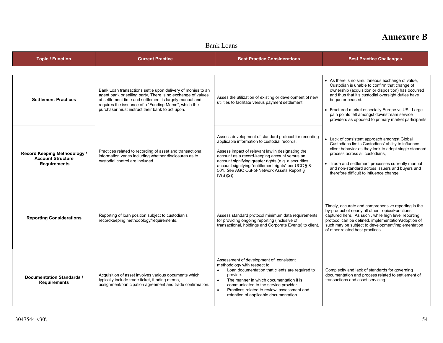#### Bank Loans

| <b>Topic / Function</b>                                                         | <b>Current Practice</b>                                                                                                                                                                                                                                                                          | <b>Best Practice Considerations</b>                                                                                                                                                                                                                                                                                                                                                   | <b>Best Practice Challenges</b>                                                                                                                                                                                                                                                                                                                                                                |
|---------------------------------------------------------------------------------|--------------------------------------------------------------------------------------------------------------------------------------------------------------------------------------------------------------------------------------------------------------------------------------------------|---------------------------------------------------------------------------------------------------------------------------------------------------------------------------------------------------------------------------------------------------------------------------------------------------------------------------------------------------------------------------------------|------------------------------------------------------------------------------------------------------------------------------------------------------------------------------------------------------------------------------------------------------------------------------------------------------------------------------------------------------------------------------------------------|
| <b>Settlement Practices</b>                                                     | Bank Loan transactions settle upon delivery of monies to an<br>agent bank or selling party, There is no exchange of values<br>at settlement time and settlement is largely manual and<br>requires the issuance of a "Funding Memo", which the<br>purchaser must instruct their bank to act upon. | Asses the utilization of existing or development of new<br>utilities to facilitate versus payment settlement.                                                                                                                                                                                                                                                                         | • As there is no simultaneous exchange of value,<br>Custodian is unable to confirm that change of<br>ownership (acquisition or disposition) has occurred<br>and thus that it's custodial oversight duties have<br>begun or ceased.<br>• Fractured market especially Europe vs US. Large<br>pain points felt amongst downstream service<br>providers as opposed to primary market participants. |
| Record Keeping Methodology /<br><b>Account Structure</b><br><b>Requirements</b> | Practices related to recording of asset and transactional<br>information varies including whether disclosures as to<br>custodial control are included.                                                                                                                                           | Assess development of standard protocol for recording<br>applicable information to custodial records.<br>Assess impact of relevant law in designating the<br>account as a record-keeping account versus an<br>account signifying greater rights (e.g. a securities<br>account signifying "entitlement rights" per UCC § 8-<br>501. See AGC Out-of-Network Assets Report §<br>IV(B)(2) | • Lack of consistent approach amongst Global<br>Custodians limits Custodians' ability to influence<br>client behavior as they look to adopt single standard<br>process across all custodians.<br>• Trade and settlement processes currently manual<br>and non-standard across issuers and buyers and<br>therefore difficult to influence change                                                |
| <b>Reporting Considerations</b>                                                 | Reporting of loan position subject to custodian's<br>recordkeeping methodology/requirements.                                                                                                                                                                                                     | Assess standard protocol minimum data requirements<br>for providing ongoing reporting (inclusive of<br>transactional, holdings and Corporate Events) to client.                                                                                                                                                                                                                       | Timely, accurate and comprehensive reporting is the<br>by-product of nearly all other Topics/Functions<br>captured here. As such, while high level reporting<br>protocol can be defined, implementation/adoption of<br>such may be subject to development/implementation<br>of other related best practices.                                                                                   |
| Documentation Standards /<br><b>Requirements</b>                                | Acquisition of asset involves various documents which<br>typically include trade ticket, funding memo,<br>assignment/participation agreement and trade confirmation.                                                                                                                             | Assessment of development of consistent<br>methodology with respect to:<br>Loan documentation that clients are required to<br>$\bullet$<br>provide.<br>The manner in which documentation if is<br>$\bullet$<br>communicated to the service provider.<br>Practices related to review, assessment and<br>$\bullet$<br>retention of applicable documentation.                            | Complexity and lack of standards for governing<br>documentation and process related to settlement of<br>transactions and asset servicing.                                                                                                                                                                                                                                                      |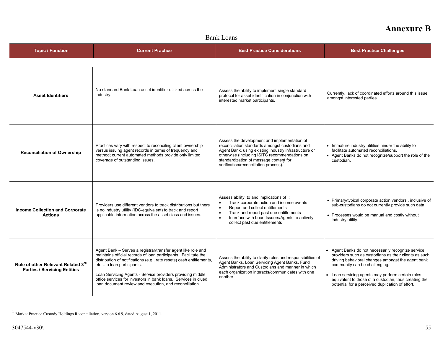| <b>Bank Loans</b>                                                         |                                                                                                                                                                                                                                                                                                                                                                                                                                |                                                                                                                                                                                                                                                                                                           |                                                                                                                                                                                                                                                                                                                                                                  |
|---------------------------------------------------------------------------|--------------------------------------------------------------------------------------------------------------------------------------------------------------------------------------------------------------------------------------------------------------------------------------------------------------------------------------------------------------------------------------------------------------------------------|-----------------------------------------------------------------------------------------------------------------------------------------------------------------------------------------------------------------------------------------------------------------------------------------------------------|------------------------------------------------------------------------------------------------------------------------------------------------------------------------------------------------------------------------------------------------------------------------------------------------------------------------------------------------------------------|
| <b>Topic / Function</b>                                                   | <b>Current Practice</b>                                                                                                                                                                                                                                                                                                                                                                                                        | <b>Best Practice Considerations</b>                                                                                                                                                                                                                                                                       | <b>Best Practice Challenges</b>                                                                                                                                                                                                                                                                                                                                  |
|                                                                           |                                                                                                                                                                                                                                                                                                                                                                                                                                |                                                                                                                                                                                                                                                                                                           |                                                                                                                                                                                                                                                                                                                                                                  |
| <b>Asset Identifiers</b>                                                  | No standard Bank Loan asset identifier utilized across the<br>industry.                                                                                                                                                                                                                                                                                                                                                        | Assess the ability to implement single standard<br>protocol for asset identification in conjunction with<br>interested market participants.                                                                                                                                                               | Currently, lack of coordinated efforts around this issue<br>amongst interested parties.                                                                                                                                                                                                                                                                          |
| <b>Reconciliation of Ownership</b>                                        | Practices vary with respect to reconciling client ownership<br>versus issuing agent records in terms of frequency and<br>method; current automated methods provide only limited<br>coverage of outstanding issues.                                                                                                                                                                                                             | Assess the development and implementation of<br>reconciliation standards amongst custodians and<br>Agent Bank, using existing industry infrastructure or<br>otherwise (including ISITC recommendations on<br>standardization of message content for<br>verification/reconciliation process). <sup>1</sup> | • Immature industry utilities hinder the ability to<br>facilitate automated reconciliations.<br>• Agent Banks do not recognize/support the role of the<br>custodian.                                                                                                                                                                                             |
| <b>Income Collection and Corporate</b><br><b>Actions</b>                  | Providers use different vendors to track distributions but there<br>is no industry utility (IDC-equivalent) to track and report<br>applicable information across the asset class and issues.                                                                                                                                                                                                                                   | Assess ability to and implications of:<br>Track corporate action and income events<br>$\bullet$<br>Report and collect entitlements<br>$\bullet$<br>$\bullet$<br>Track and report past due entitlements<br>Interface with Loan Issuers/Agents to actively<br>collect past due entitlements                 | • Primary/typical corporate action vendors, inclusive of<br>sub-custodians do not currently provide such data<br>• Processes would be manual and costly without<br>industry utility.                                                                                                                                                                             |
| Role of other Relevant Related 3rd<br><b>Parties / Servicing Entities</b> | Agent Bank – Serves a registrar/transfer agent like role and<br>maintains official records of loan participants. Facilitate the<br>distribution of notifications (e.g., rate resets) cash entitlements,<br>etcto loan participants.<br>Loan Servicing Agents - Service providers providing middle<br>office services for investors in bank loans. Services in clued<br>loan document review and execution, and reconciliation. | Assess the ability to clarify roles and responsibilities of<br>Agent Banks, Loan Servicing Agent Banks, Fund<br>Administrators and Custodians and manner in which<br>each organization interacts/communicates with one<br>another.                                                                        | Agent Banks do not necessarily recognize service<br>providers such as custodians as their clients as such,<br>driving behavioral changes amongst the agent bank<br>community can be challenging.<br>Loan servicing agents may perform certain roles<br>equivalent to those of a custodian, thus creating the<br>potential for a perceived duplication of effort. |

 $1$  Market Practice Custody Holdings Reconciliation, version 6.6.9, dated August 1, 2011.

-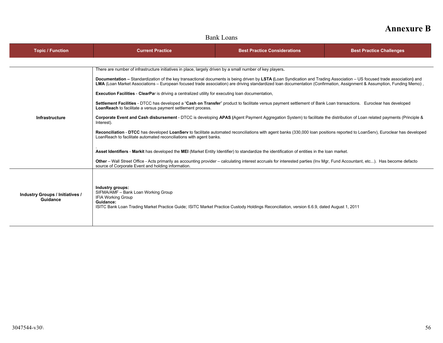| пашу планэ                                  |                                                                                                                                                                                                                                                                                                                                                    |                                     |                                 |  |
|---------------------------------------------|----------------------------------------------------------------------------------------------------------------------------------------------------------------------------------------------------------------------------------------------------------------------------------------------------------------------------------------------------|-------------------------------------|---------------------------------|--|
| <b>Topic / Function</b>                     | <b>Current Practice</b>                                                                                                                                                                                                                                                                                                                            | <b>Best Practice Considerations</b> | <b>Best Practice Challenges</b> |  |
|                                             |                                                                                                                                                                                                                                                                                                                                                    |                                     |                                 |  |
|                                             | There are number of infrastructure initiatives in place, largely driven by a small number of key players.                                                                                                                                                                                                                                          |                                     |                                 |  |
|                                             | Documentation – Standardization of the key transactional documents is being driven by LSTA (Loan Syndication and Trading Association – US focused trade association) and<br>LMA (Loan Market Associations – European focused trade association) are driving standardized loan documentation (Confirmation, Assignment & Assumption, Funding Memo), |                                     |                                 |  |
|                                             | <b>Execution Facilities - ClearPar</b> is driving a centralized utility for executing loan documentation,                                                                                                                                                                                                                                          |                                     |                                 |  |
|                                             | Settlement Facilities - DTCC has developed a "Cash on Transfer" product to facilitate versus payment settlement of Bank Loan transactions. Euroclear has developed<br><b>LoanReach</b> to facilitate a versus payment settlement process.                                                                                                          |                                     |                                 |  |
| <b>Infrastructure</b>                       | Corporate Event and Cash disbursement - DTCC is developing APAS (Agent Payment Aggregation System) to facilitate the distribution of Loan related payments (Principle &<br>Interest).                                                                                                                                                              |                                     |                                 |  |
|                                             | Reconciliation - DTCC has developed LoanServ to facilitate automated reconciliations with agent banks (330,000 loan positions reported to LoanServ), Euroclear has developed<br>LoanReach to facilitate automated reconciliations with agent banks.                                                                                                |                                     |                                 |  |
|                                             | Asset Identifiers - Markit has developed the MEI (Market Entity Identifier) to standardize the identification of entities in the loan market.                                                                                                                                                                                                      |                                     |                                 |  |
|                                             | Other - Wall Street Office - Acts primarily as accounting provider - calculating interest accruals for interested parties (Inv Mgr, Fund Accountant, etc). Has become defacto<br>source of Corporate Event and holding information.                                                                                                                |                                     |                                 |  |
|                                             |                                                                                                                                                                                                                                                                                                                                                    |                                     |                                 |  |
| Industry Groups / Initiatives /<br>Guidance | Industry groups:<br>SIFMA/AMF - Bank Loan Working Group<br><b>IFIA Working Group</b><br>Guidance:<br>ISITC Bank Loan Trading Market Practice Guide; ISITC Market Practice Custody Holdings Reconciliation, version 6.6.9, dated August 1, 2011                                                                                                     |                                     |                                 |  |

### Bank Loans